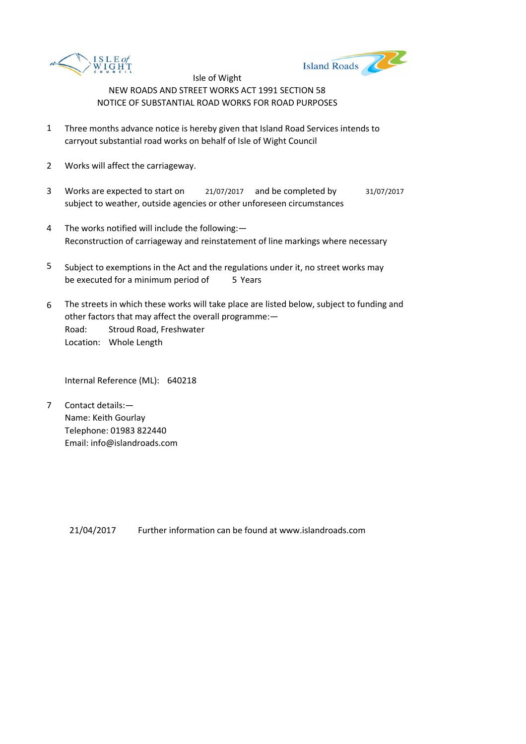



- 1 Three months advance notice is hereby given that Island Road Services intends to carryout substantial road works on behalf of Isle of Wight Council
- 2 Works will affect the carriageway.
- 3 Works are expected to start on <br>21/07/2017 and be completed by 31/07/2017 subject to weather, outside agencies or other unforeseen circumstances
- 4 The works notified will include the following:— Reconstruction of carriageway and reinstatement of line markings where necessary
- 5 be executed for a minimum period of 5 Years Subject to exemptions in the Act and the regulations under it, no street works may
- 6 Road: Stroud Road, Freshwater Location: Whole Length The streets in which these works will take place are listed below, subject to funding and other factors that may affect the overall programme:—

Internal Reference (ML): 640218

7 Contact details:— Name: Keith Gourlay Telephone: 01983 822440 Email: info@islandroads.com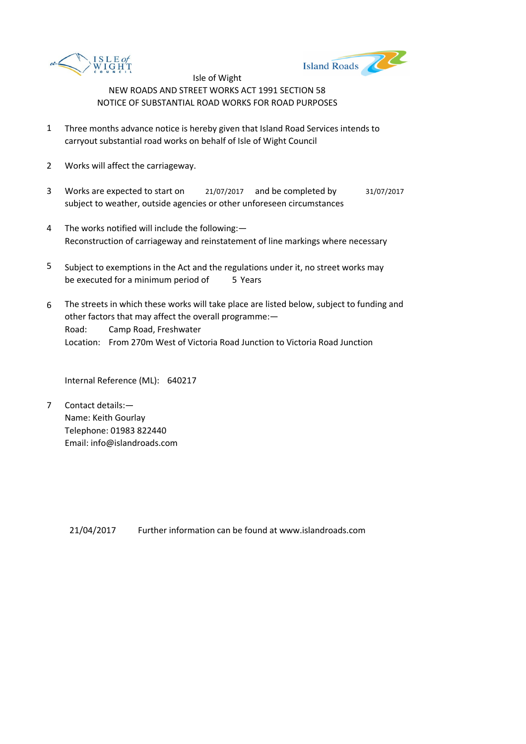



- 1 Three months advance notice is hereby given that Island Road Services intends to carryout substantial road works on behalf of Isle of Wight Council
- 2 Works will affect the carriageway.
- 3 Works are expected to start on <br>21/07/2017 and be completed by 31/07/2017 subject to weather, outside agencies or other unforeseen circumstances
- 4 The works notified will include the following:— Reconstruction of carriageway and reinstatement of line markings where necessary
- 5 be executed for a minimum period of 5 Years Subject to exemptions in the Act and the regulations under it, no street works may
- 6 Road: Camp Road, Freshwater Location: From 270m West of Victoria Road Junction to Victoria Road Junction The streets in which these works will take place are listed below, subject to funding and other factors that may affect the overall programme:—

Internal Reference (ML): 640217

7 Contact details:— Name: Keith Gourlay Telephone: 01983 822440 Email: info@islandroads.com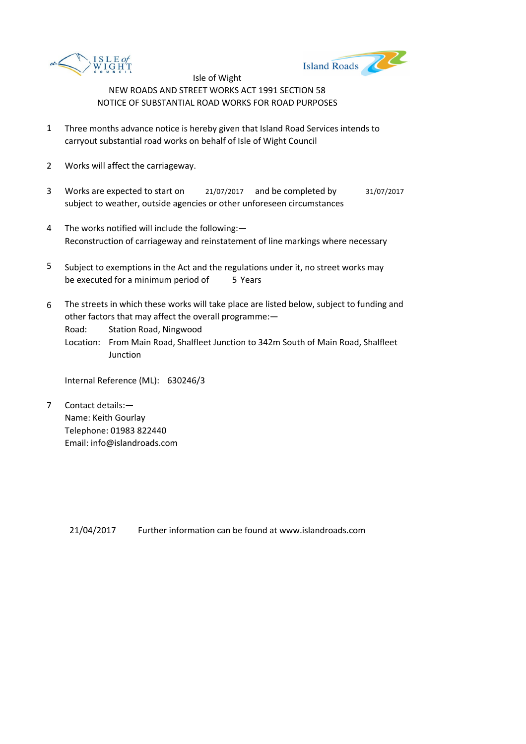



- 1 Three months advance notice is hereby given that Island Road Services intends to carryout substantial road works on behalf of Isle of Wight Council
- 2 Works will affect the carriageway.
- 3 Works are expected to start on <br>21/07/2017 and be completed by 31/07/2017 subject to weather, outside agencies or other unforeseen circumstances
- 4 The works notified will include the following:— Reconstruction of carriageway and reinstatement of line markings where necessary
- 5 be executed for a minimum period of 5 Years Subject to exemptions in the Act and the regulations under it, no street works may
- 6 The streets in which these works will take place are listed below, subject to funding and other factors that may affect the overall programme:—

Road: Station Road, Ningwood

Location: From Main Road, Shalfleet Junction to 342m South of Main Road, Shalfleet Junction

Internal Reference (ML): 630246/3

7 Contact details:— Name: Keith Gourlay Telephone: 01983 822440 Email: info@islandroads.com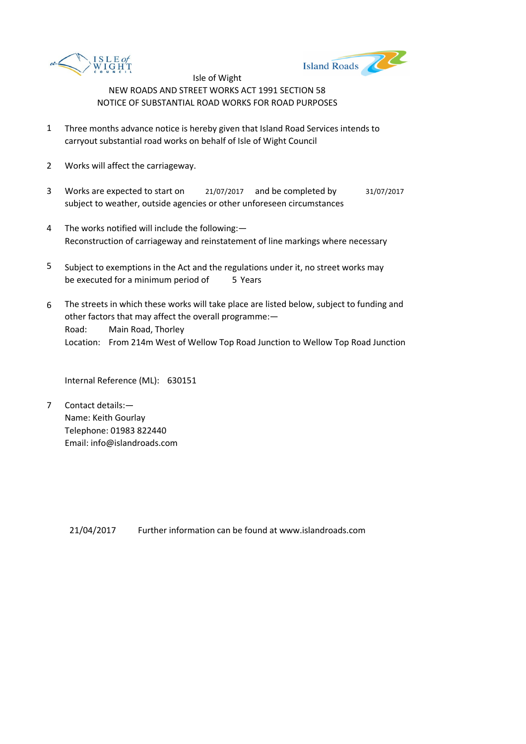



- 1 Three months advance notice is hereby given that Island Road Services intends to carryout substantial road works on behalf of Isle of Wight Council
- 2 Works will affect the carriageway.
- 3 Works are expected to start on <br>21/07/2017 and be completed by 31/07/2017 subject to weather, outside agencies or other unforeseen circumstances
- 4 The works notified will include the following:— Reconstruction of carriageway and reinstatement of line markings where necessary
- 5 be executed for a minimum period of 5 Years Subject to exemptions in the Act and the regulations under it, no street works may
- 6 Road: Main Road, Thorley Location: From 214m West of Wellow Top Road Junction to Wellow Top Road Junction The streets in which these works will take place are listed below, subject to funding and other factors that may affect the overall programme:—

Internal Reference (ML): 630151

7 Contact details:— Name: Keith Gourlay Telephone: 01983 822440 Email: info@islandroads.com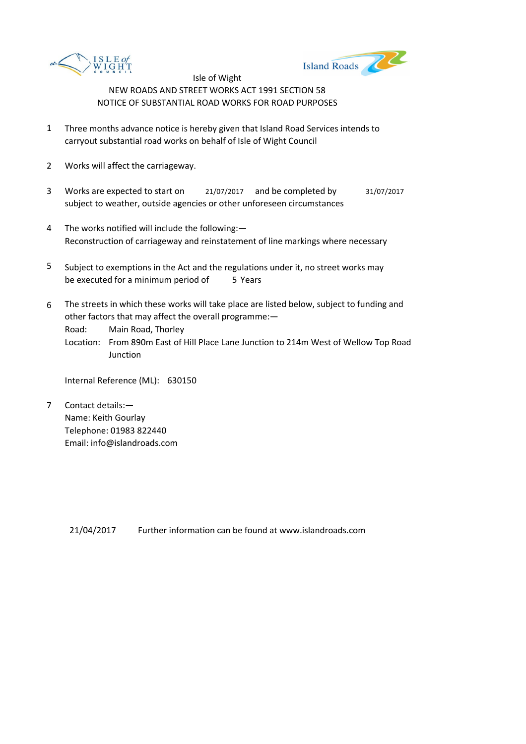



- 1 Three months advance notice is hereby given that Island Road Services intends to carryout substantial road works on behalf of Isle of Wight Council
- 2 Works will affect the carriageway.
- 3 Works are expected to start on <br>21/07/2017 and be completed by 31/07/2017 subject to weather, outside agencies or other unforeseen circumstances
- 4 The works notified will include the following:— Reconstruction of carriageway and reinstatement of line markings where necessary
- 5 be executed for a minimum period of 5 Years Subject to exemptions in the Act and the regulations under it, no street works may
- 6 The streets in which these works will take place are listed below, subject to funding and other factors that may affect the overall programme:—

Road: Main Road, Thorley

Location: From 890m East of Hill Place Lane Junction to 214m West of Wellow Top Road **Junction** 

Internal Reference (ML): 630150

7 Contact details:— Name: Keith Gourlay Telephone: 01983 822440 Email: info@islandroads.com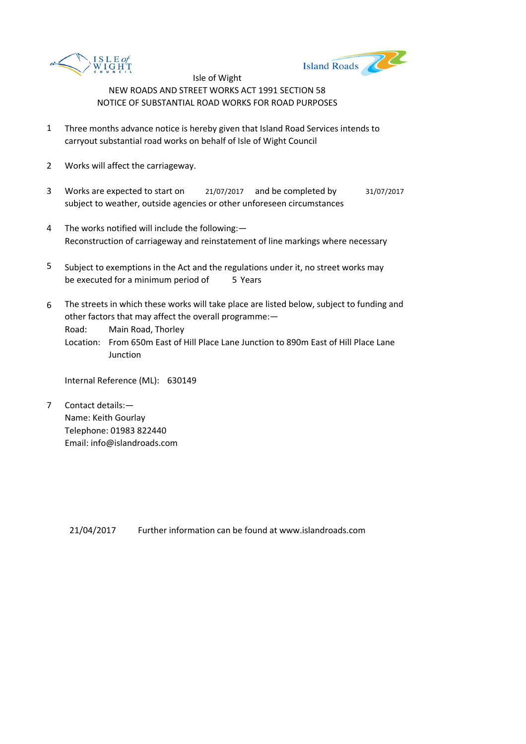



- 1 Three months advance notice is hereby given that Island Road Services intends to carryout substantial road works on behalf of Isle of Wight Council
- 2 Works will affect the carriageway.
- 3 Works are expected to start on <br>21/07/2017 and be completed by 31/07/2017 subject to weather, outside agencies or other unforeseen circumstances
- 4 The works notified will include the following:— Reconstruction of carriageway and reinstatement of line markings where necessary
- 5 be executed for a minimum period of 5 Years Subject to exemptions in the Act and the regulations under it, no street works may
- 6 The streets in which these works will take place are listed below, subject to funding and other factors that may affect the overall programme:—

Road: Main Road, Thorley

Location: From 650m East of Hill Place Lane Junction to 890m East of Hill Place Lane **Junction** 

Internal Reference (ML): 630149

7 Contact details:— Name: Keith Gourlay Telephone: 01983 822440 Email: info@islandroads.com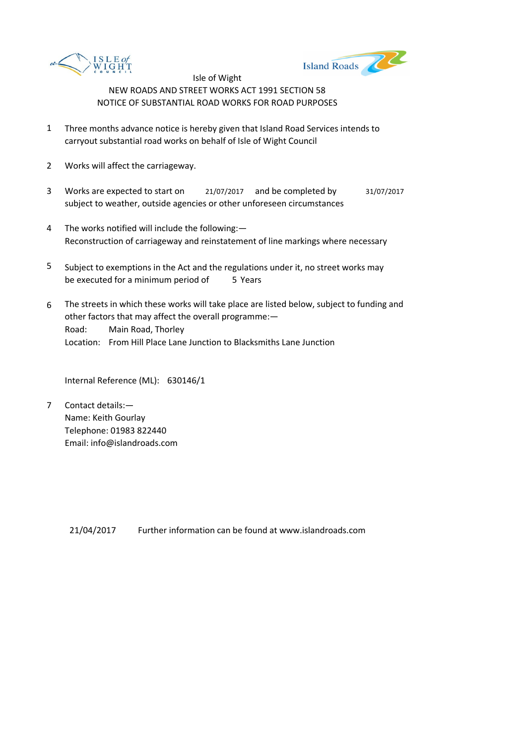



- 1 Three months advance notice is hereby given that Island Road Services intends to carryout substantial road works on behalf of Isle of Wight Council
- 2 Works will affect the carriageway.
- 3 Works are expected to start on <br>21/07/2017 and be completed by 31/07/2017 subject to weather, outside agencies or other unforeseen circumstances
- 4 The works notified will include the following:— Reconstruction of carriageway and reinstatement of line markings where necessary
- 5 be executed for a minimum period of 5 Years Subject to exemptions in the Act and the regulations under it, no street works may
- 6 Road: Main Road, Thorley Location: From Hill Place Lane Junction to Blacksmiths Lane Junction The streets in which these works will take place are listed below, subject to funding and other factors that may affect the overall programme:—

Internal Reference (ML): 630146/1

7 Contact details:— Name: Keith Gourlay Telephone: 01983 822440 Email: info@islandroads.com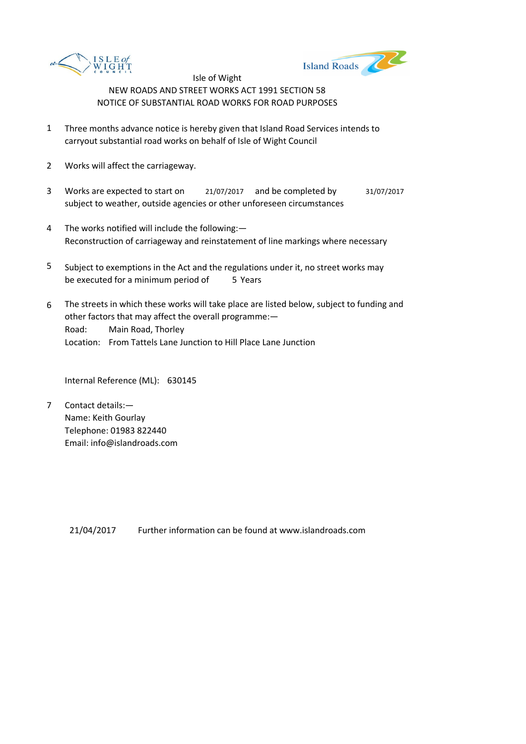



- 1 Three months advance notice is hereby given that Island Road Services intends to carryout substantial road works on behalf of Isle of Wight Council
- 2 Works will affect the carriageway.
- 3 Works are expected to start on <br>21/07/2017 and be completed by 31/07/2017 subject to weather, outside agencies or other unforeseen circumstances
- 4 The works notified will include the following:— Reconstruction of carriageway and reinstatement of line markings where necessary
- 5 be executed for a minimum period of 5 Years Subject to exemptions in the Act and the regulations under it, no street works may
- 6 Road: Main Road, Thorley Location: From Tattels Lane Junction to Hill Place Lane Junction The streets in which these works will take place are listed below, subject to funding and other factors that may affect the overall programme:—

Internal Reference (ML): 630145

7 Contact details:— Name: Keith Gourlay Telephone: 01983 822440 Email: info@islandroads.com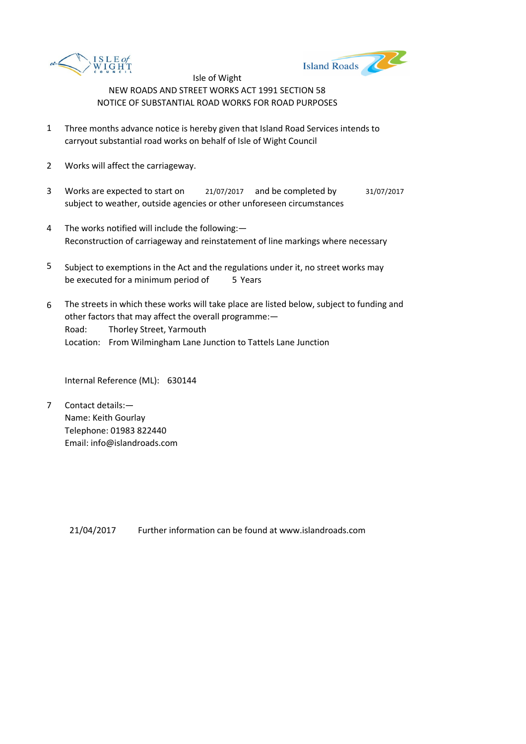



- 1 Three months advance notice is hereby given that Island Road Services intends to carryout substantial road works on behalf of Isle of Wight Council
- 2 Works will affect the carriageway.
- 3 Works are expected to start on <br>21/07/2017 and be completed by 31/07/2017 subject to weather, outside agencies or other unforeseen circumstances
- 4 The works notified will include the following:— Reconstruction of carriageway and reinstatement of line markings where necessary
- 5 be executed for a minimum period of 5 Years Subject to exemptions in the Act and the regulations under it, no street works may
- 6 Road: Thorley Street, Yarmouth Location: From Wilmingham Lane Junction to Tattels Lane Junction The streets in which these works will take place are listed below, subject to funding and other factors that may affect the overall programme:—

Internal Reference (ML): 630144

7 Contact details:— Name: Keith Gourlay Telephone: 01983 822440 Email: info@islandroads.com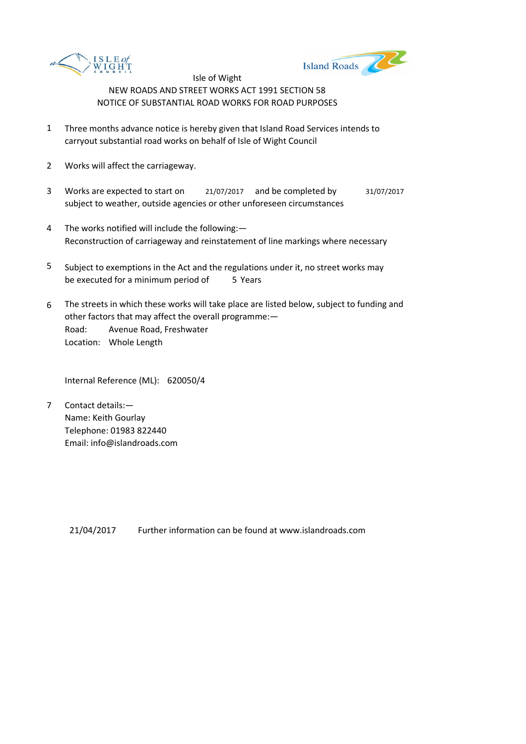



- 1 Three months advance notice is hereby given that Island Road Services intends to carryout substantial road works on behalf of Isle of Wight Council
- 2 Works will affect the carriageway.
- 3 Works are expected to start on <br>21/07/2017 and be completed by 31/07/2017 subject to weather, outside agencies or other unforeseen circumstances
- 4 The works notified will include the following:— Reconstruction of carriageway and reinstatement of line markings where necessary
- 5 be executed for a minimum period of 5 Years Subject to exemptions in the Act and the regulations under it, no street works may
- 6 Road: Avenue Road, Freshwater Location: Whole Length The streets in which these works will take place are listed below, subject to funding and other factors that may affect the overall programme:—

Internal Reference (ML): 620050/4

7 Contact details:— Name: Keith Gourlay Telephone: 01983 822440 Email: info@islandroads.com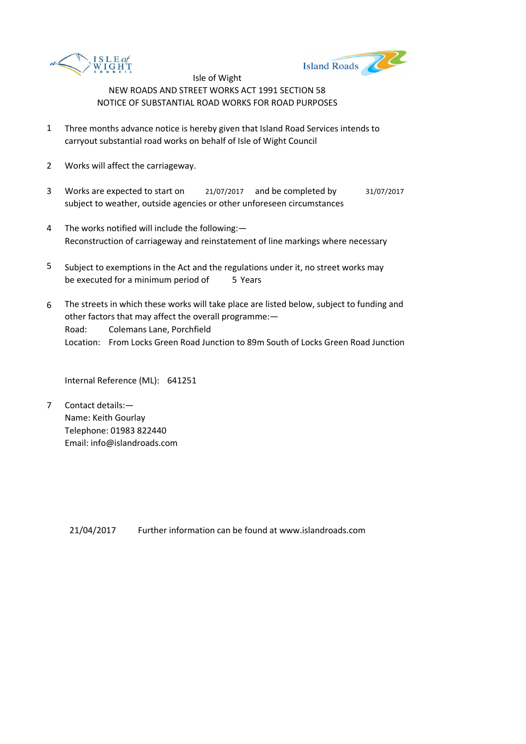



- 1 Three months advance notice is hereby given that Island Road Services intends to carryout substantial road works on behalf of Isle of Wight Council
- 2 Works will affect the carriageway.
- 3 Works are expected to start on <br>21/07/2017 and be completed by 31/07/2017 subject to weather, outside agencies or other unforeseen circumstances
- 4 The works notified will include the following:— Reconstruction of carriageway and reinstatement of line markings where necessary
- 5 be executed for a minimum period of 5 Years Subject to exemptions in the Act and the regulations under it, no street works may
- 6 Road: Colemans Lane, Porchfield Location: From Locks Green Road Junction to 89m South of Locks Green Road Junction The streets in which these works will take place are listed below, subject to funding and other factors that may affect the overall programme:—

Internal Reference (ML): 641251

7 Contact details:— Name: Keith Gourlay Telephone: 01983 822440 Email: info@islandroads.com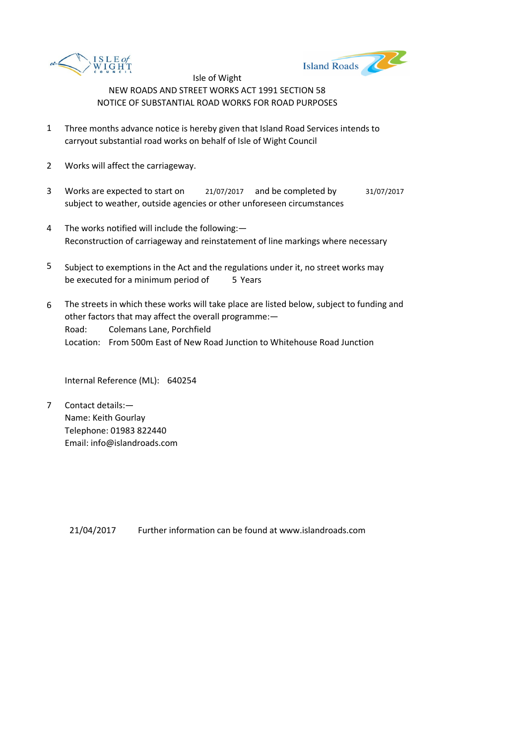



- 1 Three months advance notice is hereby given that Island Road Services intends to carryout substantial road works on behalf of Isle of Wight Council
- 2 Works will affect the carriageway.
- 3 Works are expected to start on <br>21/07/2017 and be completed by 31/07/2017 subject to weather, outside agencies or other unforeseen circumstances
- 4 The works notified will include the following:— Reconstruction of carriageway and reinstatement of line markings where necessary
- 5 be executed for a minimum period of 5 Years Subject to exemptions in the Act and the regulations under it, no street works may
- 6 Road: Colemans Lane, Porchfield Location: From 500m East of New Road Junction to Whitehouse Road Junction The streets in which these works will take place are listed below, subject to funding and other factors that may affect the overall programme:—

Internal Reference (ML): 640254

7 Contact details:— Name: Keith Gourlay Telephone: 01983 822440 Email: info@islandroads.com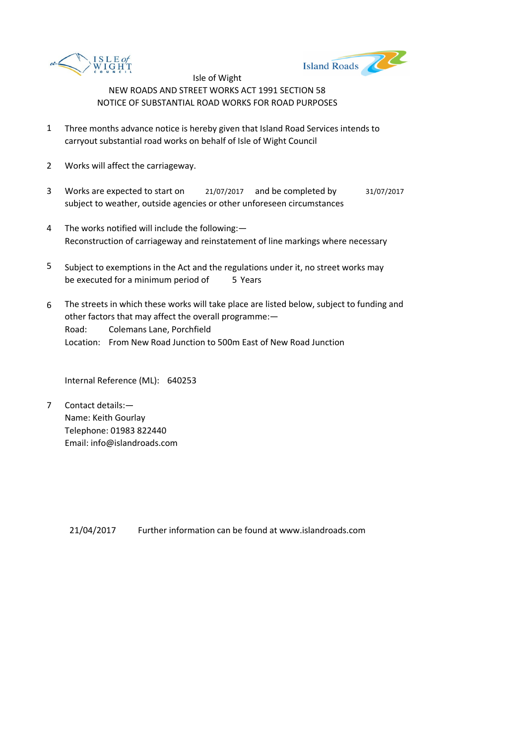



- 1 Three months advance notice is hereby given that Island Road Services intends to carryout substantial road works on behalf of Isle of Wight Council
- 2 Works will affect the carriageway.
- 3 Works are expected to start on <br>21/07/2017 and be completed by 31/07/2017 subject to weather, outside agencies or other unforeseen circumstances
- 4 The works notified will include the following:— Reconstruction of carriageway and reinstatement of line markings where necessary
- 5 be executed for a minimum period of 5 Years Subject to exemptions in the Act and the regulations under it, no street works may
- 6 Road: Colemans Lane, Porchfield Location: From New Road Junction to 500m East of New Road Junction The streets in which these works will take place are listed below, subject to funding and other factors that may affect the overall programme:—

Internal Reference (ML): 640253

7 Contact details:— Name: Keith Gourlay Telephone: 01983 822440 Email: info@islandroads.com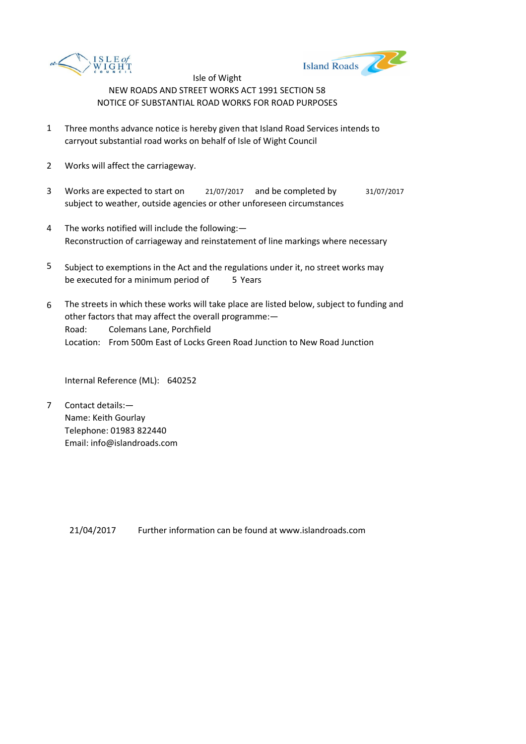



- 1 Three months advance notice is hereby given that Island Road Services intends to carryout substantial road works on behalf of Isle of Wight Council
- 2 Works will affect the carriageway.
- 3 Works are expected to start on <br>21/07/2017 and be completed by 31/07/2017 subject to weather, outside agencies or other unforeseen circumstances
- 4 The works notified will include the following:— Reconstruction of carriageway and reinstatement of line markings where necessary
- 5 be executed for a minimum period of 5 Years Subject to exemptions in the Act and the regulations under it, no street works may
- 6 Road: Colemans Lane, Porchfield Location: From 500m East of Locks Green Road Junction to New Road Junction The streets in which these works will take place are listed below, subject to funding and other factors that may affect the overall programme:—

Internal Reference (ML): 640252

7 Contact details:— Name: Keith Gourlay Telephone: 01983 822440 Email: info@islandroads.com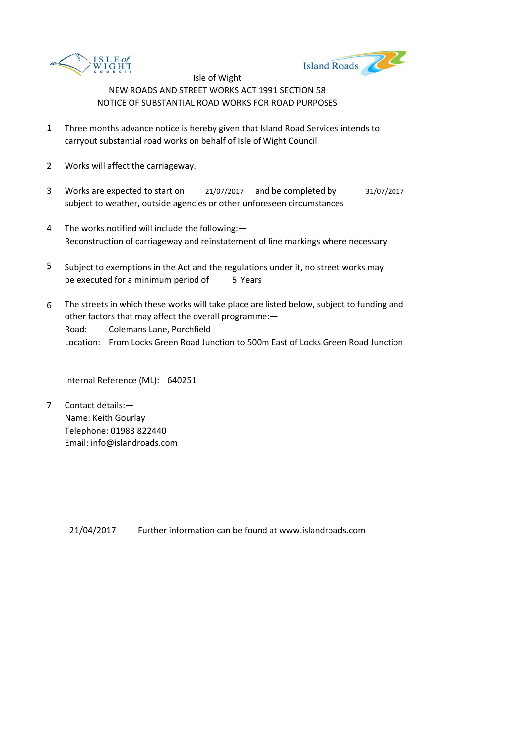



- 1 Three months advance notice is hereby given that Island Road Services intends to carryout substantial road works on behalf of Isle of Wight Council
- 2 Works will affect the carriageway.
- 3 Works are expected to start on <br>21/07/2017 and be completed by 31/07/2017 subject to weather, outside agencies or other unforeseen circumstances
- 4 The works notified will include the following:— Reconstruction of carriageway and reinstatement of line markings where necessary
- 5 be executed for a minimum period of 5 Years Subject to exemptions in the Act and the regulations under it, no street works may
- 6 Road: Colemans Lane, Porchfield Location: From Locks Green Road Junction to 500m East of Locks Green Road Junction The streets in which these works will take place are listed below, subject to funding and other factors that may affect the overall programme:—

Internal Reference (ML): 640251

7 Contact details:— Name: Keith Gourlay Telephone: 01983 822440 Email: info@islandroads.com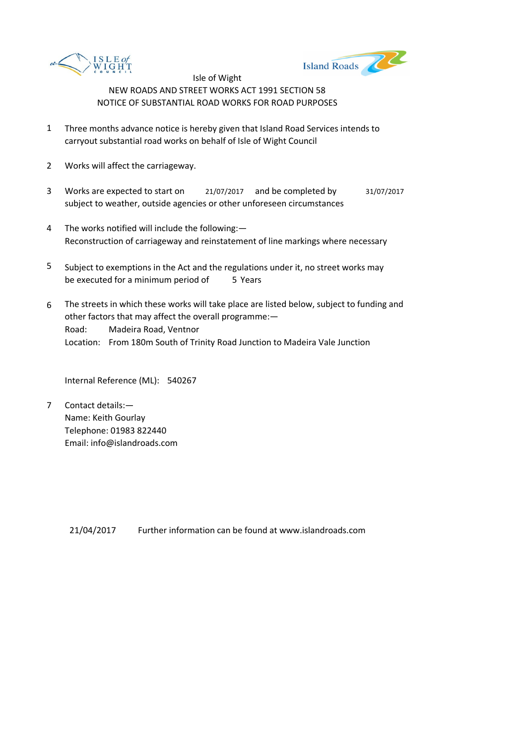



- 1 Three months advance notice is hereby given that Island Road Services intends to carryout substantial road works on behalf of Isle of Wight Council
- 2 Works will affect the carriageway.
- 3 Works are expected to start on <br>21/07/2017 and be completed by 31/07/2017 subject to weather, outside agencies or other unforeseen circumstances
- 4 The works notified will include the following:— Reconstruction of carriageway and reinstatement of line markings where necessary
- 5 be executed for a minimum period of 5 Years Subject to exemptions in the Act and the regulations under it, no street works may
- 6 Road: Madeira Road, Ventnor Location: From 180m South of Trinity Road Junction to Madeira Vale Junction The streets in which these works will take place are listed below, subject to funding and other factors that may affect the overall programme:—

Internal Reference (ML): 540267

7 Contact details:— Name: Keith Gourlay Telephone: 01983 822440 Email: info@islandroads.com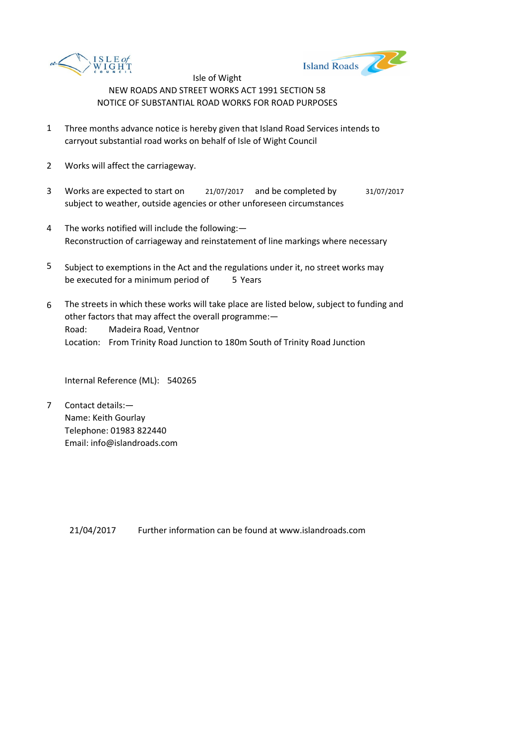



- 1 Three months advance notice is hereby given that Island Road Services intends to carryout substantial road works on behalf of Isle of Wight Council
- 2 Works will affect the carriageway.
- 3 Works are expected to start on <br>21/07/2017 and be completed by 31/07/2017 subject to weather, outside agencies or other unforeseen circumstances
- 4 The works notified will include the following:— Reconstruction of carriageway and reinstatement of line markings where necessary
- 5 be executed for a minimum period of 5 Years Subject to exemptions in the Act and the regulations under it, no street works may
- 6 Road: Madeira Road, Ventnor Location: From Trinity Road Junction to 180m South of Trinity Road Junction The streets in which these works will take place are listed below, subject to funding and other factors that may affect the overall programme:—

Internal Reference (ML): 540265

7 Contact details:— Name: Keith Gourlay Telephone: 01983 822440 Email: info@islandroads.com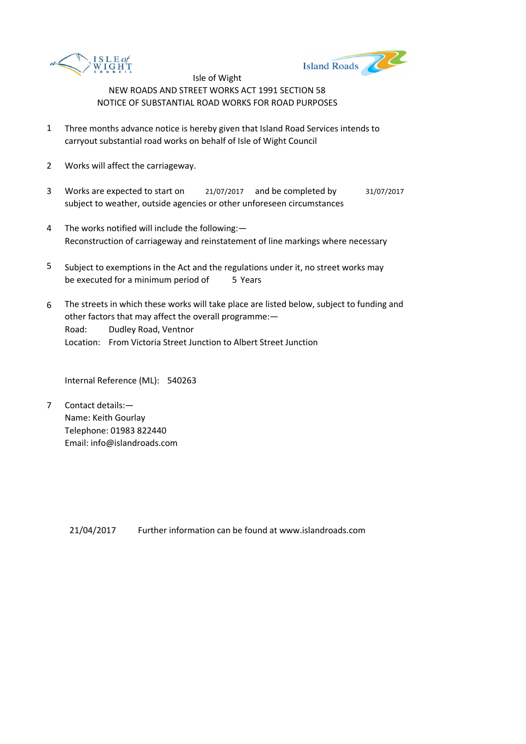



- 1 Three months advance notice is hereby given that Island Road Services intends to carryout substantial road works on behalf of Isle of Wight Council
- 2 Works will affect the carriageway.
- 3 Works are expected to start on <br>21/07/2017 and be completed by 31/07/2017 subject to weather, outside agencies or other unforeseen circumstances
- 4 The works notified will include the following:— Reconstruction of carriageway and reinstatement of line markings where necessary
- 5 be executed for a minimum period of 5 Years Subject to exemptions in the Act and the regulations under it, no street works may
- 6 Road: Dudley Road, Ventnor Location: From Victoria Street Junction to Albert Street Junction The streets in which these works will take place are listed below, subject to funding and other factors that may affect the overall programme:—

Internal Reference (ML): 540263

7 Contact details:— Name: Keith Gourlay Telephone: 01983 822440 Email: info@islandroads.com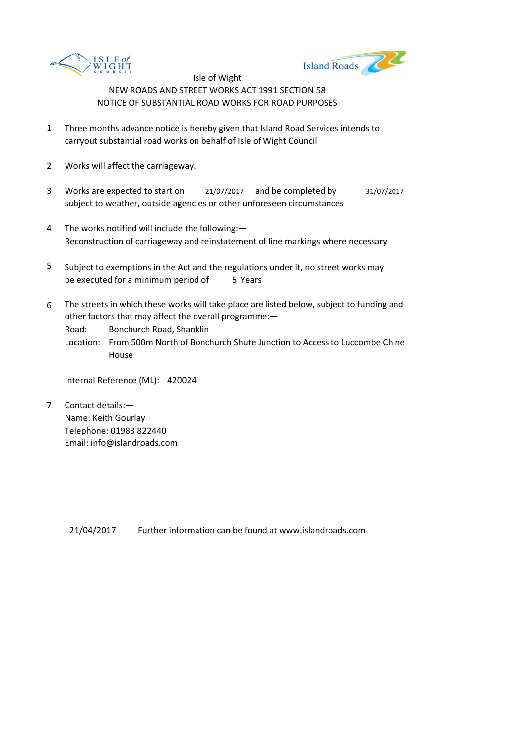



- 1 Three months advance notice is hereby given that Island Road Services intends to carryout substantial road works on behalf of Isle of Wight Council
- 2 Works will affect the carriageway.
- 3 Works are expected to start on <br>21/07/2017 and be completed by 31/07/2017 subject to weather, outside agencies or other unforeseen circumstances
- 4 The works notified will include the following:— Reconstruction of carriageway and reinstatement of line markings where necessary
- 5 be executed for a minimum period of 5 Years Subject to exemptions in the Act and the regulations under it, no street works may
- 6 The streets in which these works will take place are listed below, subject to funding and other factors that may affect the overall programme:—

Road: Bonchurch Road, Shanklin

Location: From 500m North of Bonchurch Shute Junction to Access to Luccombe Chine House

Internal Reference (ML): 420024

7 Contact details:— Name: Keith Gourlay Telephone: 01983 822440 Email: info@islandroads.com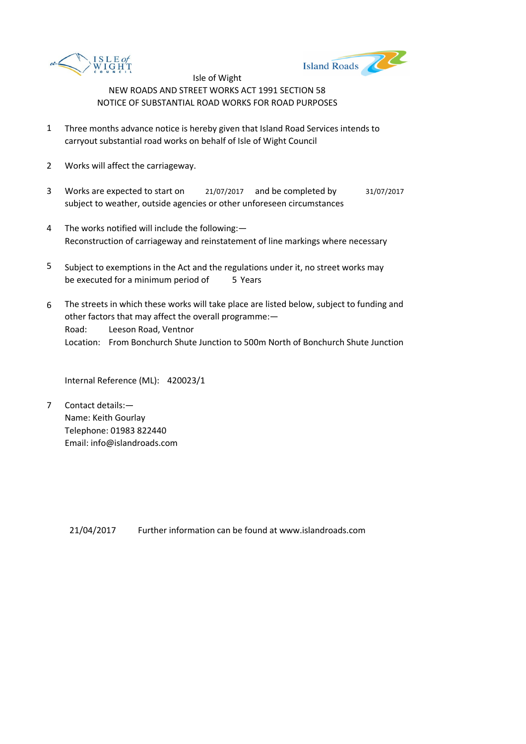



- 1 Three months advance notice is hereby given that Island Road Services intends to carryout substantial road works on behalf of Isle of Wight Council
- 2 Works will affect the carriageway.
- 3 Works are expected to start on <br>21/07/2017 and be completed by 31/07/2017 subject to weather, outside agencies or other unforeseen circumstances
- 4 The works notified will include the following:— Reconstruction of carriageway and reinstatement of line markings where necessary
- 5 be executed for a minimum period of 5 Years Subject to exemptions in the Act and the regulations under it, no street works may
- 6 Road: Leeson Road, Ventnor Location: From Bonchurch Shute Junction to 500m North of Bonchurch Shute Junction The streets in which these works will take place are listed below, subject to funding and other factors that may affect the overall programme:—

Internal Reference (ML): 420023/1

7 Contact details:— Name: Keith Gourlay Telephone: 01983 822440 Email: info@islandroads.com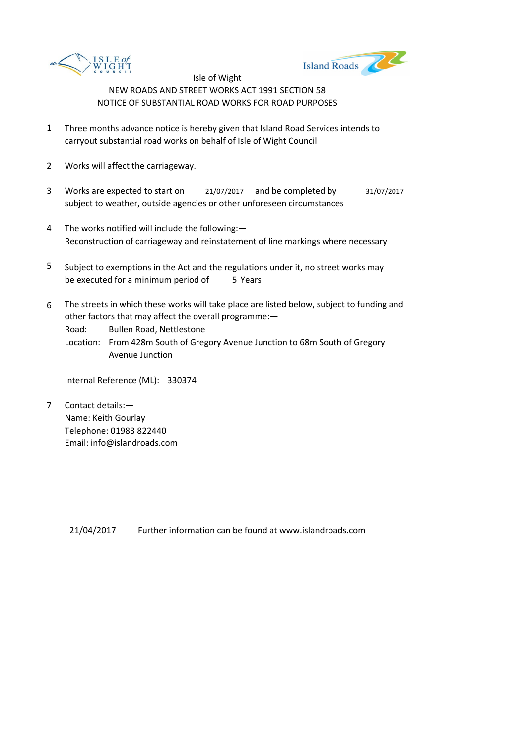



- 1 Three months advance notice is hereby given that Island Road Services intends to carryout substantial road works on behalf of Isle of Wight Council
- 2 Works will affect the carriageway.
- 3 Works are expected to start on <br>21/07/2017 and be completed by 31/07/2017 subject to weather, outside agencies or other unforeseen circumstances
- 4 The works notified will include the following:— Reconstruction of carriageway and reinstatement of line markings where necessary
- 5 be executed for a minimum period of 5 Years Subject to exemptions in the Act and the regulations under it, no street works may
- 6 The streets in which these works will take place are listed below, subject to funding and other factors that may affect the overall programme:—

Road: Bullen Road, Nettlestone

Location: From 428m South of Gregory Avenue Junction to 68m South of Gregory Avenue Junction

Internal Reference (ML): 330374

7 Contact details:— Name: Keith Gourlay Telephone: 01983 822440 Email: info@islandroads.com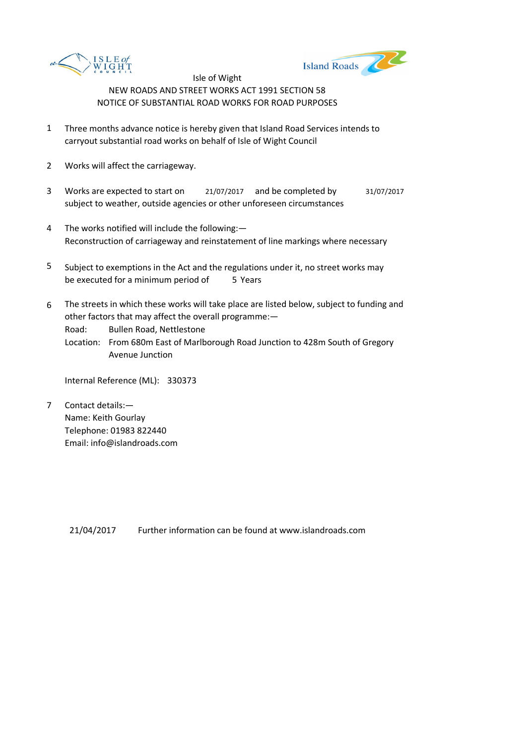



- 1 Three months advance notice is hereby given that Island Road Services intends to carryout substantial road works on behalf of Isle of Wight Council
- 2 Works will affect the carriageway.
- 3 Works are expected to start on <br>21/07/2017 and be completed by 31/07/2017 subject to weather, outside agencies or other unforeseen circumstances
- 4 The works notified will include the following:— Reconstruction of carriageway and reinstatement of line markings where necessary
- 5 be executed for a minimum period of 5 Years Subject to exemptions in the Act and the regulations under it, no street works may
- 6 The streets in which these works will take place are listed below, subject to funding and other factors that may affect the overall programme:—

Road: Bullen Road, Nettlestone

Location: From 680m East of Marlborough Road Junction to 428m South of Gregory Avenue Junction

Internal Reference (ML): 330373

7 Contact details:— Name: Keith Gourlay Telephone: 01983 822440 Email: info@islandroads.com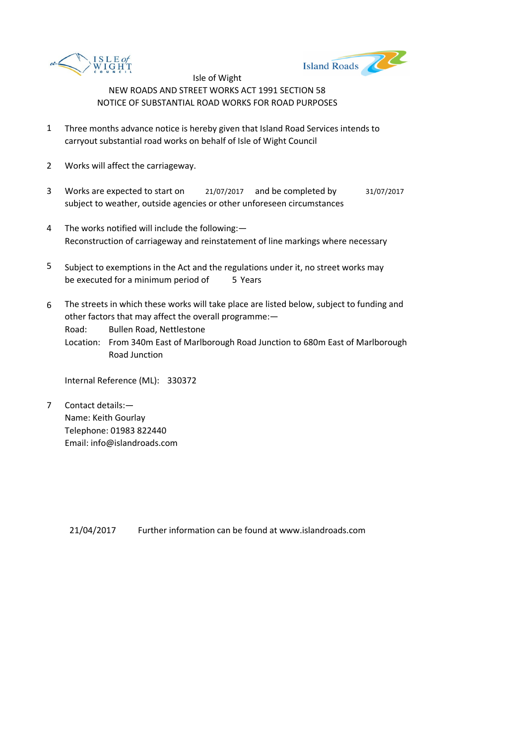



- 1 Three months advance notice is hereby given that Island Road Services intends to carryout substantial road works on behalf of Isle of Wight Council
- 2 Works will affect the carriageway.
- 3 Works are expected to start on <br>21/07/2017 and be completed by 31/07/2017 subject to weather, outside agencies or other unforeseen circumstances
- 4 The works notified will include the following:— Reconstruction of carriageway and reinstatement of line markings where necessary
- 5 be executed for a minimum period of 5 Years Subject to exemptions in the Act and the regulations under it, no street works may
- 6 The streets in which these works will take place are listed below, subject to funding and other factors that may affect the overall programme:—

Road: Bullen Road, Nettlestone

Location: From 340m East of Marlborough Road Junction to 680m East of Marlborough Road Junction

Internal Reference (ML): 330372

7 Contact details:— Name: Keith Gourlay Telephone: 01983 822440 Email: info@islandroads.com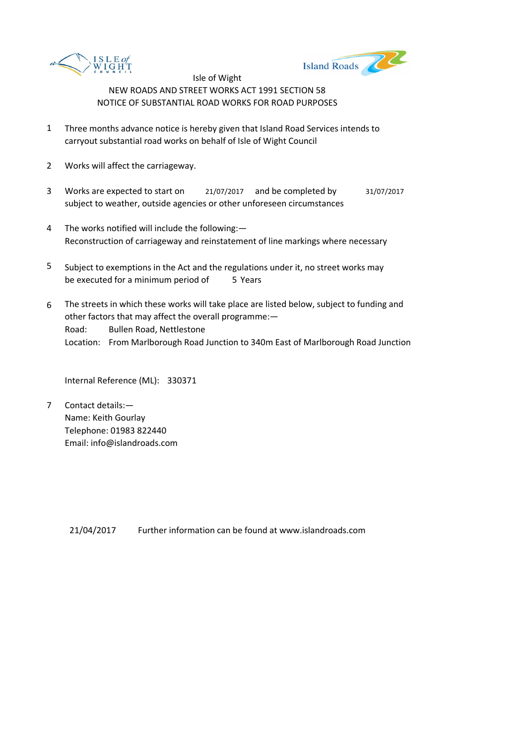



- 1 Three months advance notice is hereby given that Island Road Services intends to carryout substantial road works on behalf of Isle of Wight Council
- 2 Works will affect the carriageway.
- 3 Works are expected to start on <br>21/07/2017 and be completed by 31/07/2017 subject to weather, outside agencies or other unforeseen circumstances
- 4 The works notified will include the following:— Reconstruction of carriageway and reinstatement of line markings where necessary
- 5 be executed for a minimum period of 5 Years Subject to exemptions in the Act and the regulations under it, no street works may
- 6 Road: Bullen Road, Nettlestone Location: From Marlborough Road Junction to 340m East of Marlborough Road Junction The streets in which these works will take place are listed below, subject to funding and other factors that may affect the overall programme:—

Internal Reference (ML): 330371

7 Contact details:— Name: Keith Gourlay Telephone: 01983 822440 Email: info@islandroads.com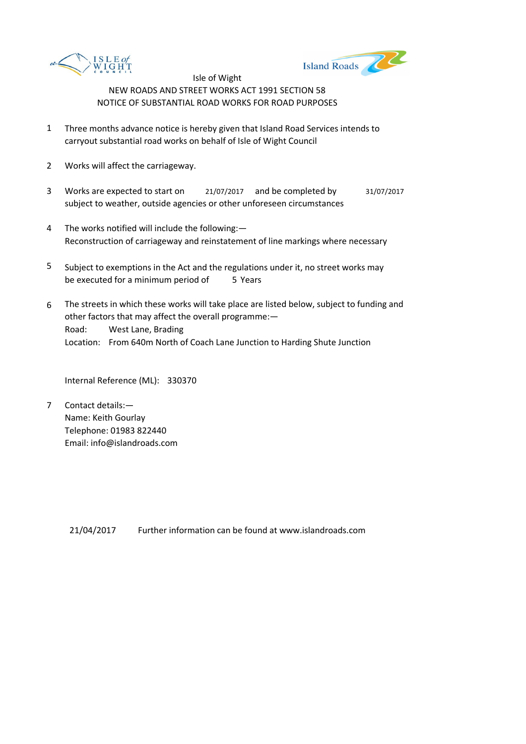



- 1 Three months advance notice is hereby given that Island Road Services intends to carryout substantial road works on behalf of Isle of Wight Council
- 2 Works will affect the carriageway.
- 3 Works are expected to start on <br>21/07/2017 and be completed by 31/07/2017 subject to weather, outside agencies or other unforeseen circumstances
- 4 The works notified will include the following:— Reconstruction of carriageway and reinstatement of line markings where necessary
- 5 be executed for a minimum period of 5 Years Subject to exemptions in the Act and the regulations under it, no street works may
- 6 Road: West Lane, Brading Location: From 640m North of Coach Lane Junction to Harding Shute Junction The streets in which these works will take place are listed below, subject to funding and other factors that may affect the overall programme:—

Internal Reference (ML): 330370

7 Contact details:— Name: Keith Gourlay Telephone: 01983 822440 Email: info@islandroads.com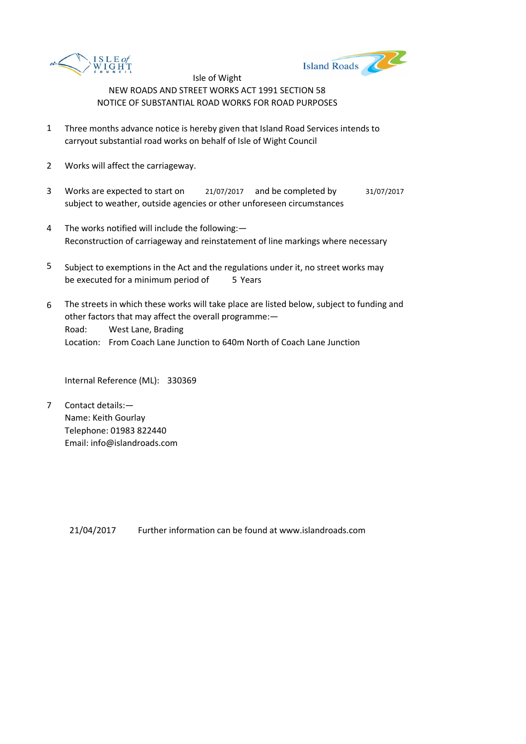



- 1 Three months advance notice is hereby given that Island Road Services intends to carryout substantial road works on behalf of Isle of Wight Council
- 2 Works will affect the carriageway.
- 3 Works are expected to start on <br>21/07/2017 and be completed by 31/07/2017 subject to weather, outside agencies or other unforeseen circumstances
- 4 The works notified will include the following:— Reconstruction of carriageway and reinstatement of line markings where necessary
- 5 be executed for a minimum period of 5 Years Subject to exemptions in the Act and the regulations under it, no street works may
- 6 Road: West Lane, Brading Location: From Coach Lane Junction to 640m North of Coach Lane Junction The streets in which these works will take place are listed below, subject to funding and other factors that may affect the overall programme:—

Internal Reference (ML): 330369

7 Contact details:— Name: Keith Gourlay Telephone: 01983 822440 Email: info@islandroads.com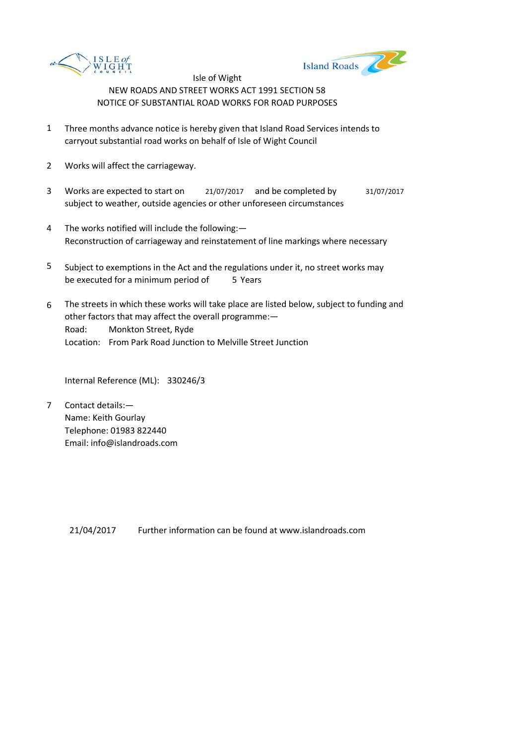



- 1 Three months advance notice is hereby given that Island Road Services intends to carryout substantial road works on behalf of Isle of Wight Council
- 2 Works will affect the carriageway.
- 3 Works are expected to start on <br>21/07/2017 and be completed by 31/07/2017 subject to weather, outside agencies or other unforeseen circumstances
- 4 The works notified will include the following:— Reconstruction of carriageway and reinstatement of line markings where necessary
- 5 be executed for a minimum period of 5 Years Subject to exemptions in the Act and the regulations under it, no street works may
- 6 Road: Monkton Street, Ryde Location: From Park Road Junction to Melville Street Junction The streets in which these works will take place are listed below, subject to funding and other factors that may affect the overall programme:—

Internal Reference (ML): 330246/3

7 Contact details:— Name: Keith Gourlay Telephone: 01983 822440 Email: info@islandroads.com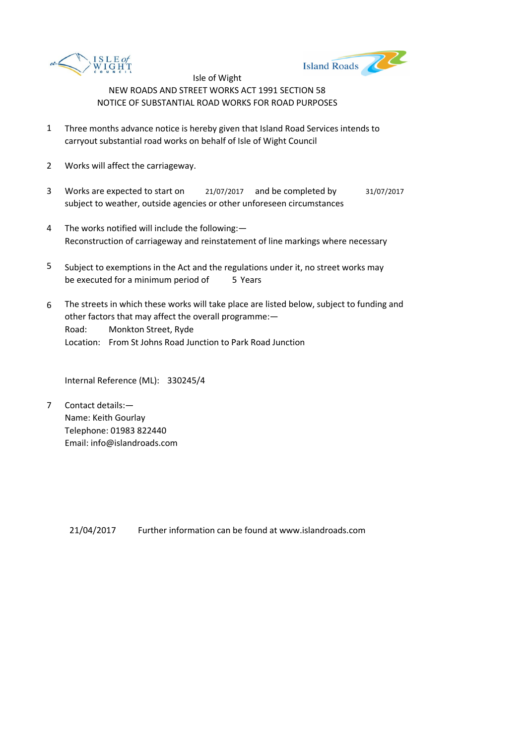



- 1 Three months advance notice is hereby given that Island Road Services intends to carryout substantial road works on behalf of Isle of Wight Council
- 2 Works will affect the carriageway.
- 3 Works are expected to start on <br>21/07/2017 and be completed by 31/07/2017 subject to weather, outside agencies or other unforeseen circumstances
- 4 The works notified will include the following:— Reconstruction of carriageway and reinstatement of line markings where necessary
- 5 be executed for a minimum period of 5 Years Subject to exemptions in the Act and the regulations under it, no street works may
- 6 Road: Monkton Street, Ryde Location: From St Johns Road Junction to Park Road Junction The streets in which these works will take place are listed below, subject to funding and other factors that may affect the overall programme:—

Internal Reference (ML): 330245/4

7 Contact details:— Name: Keith Gourlay Telephone: 01983 822440 Email: info@islandroads.com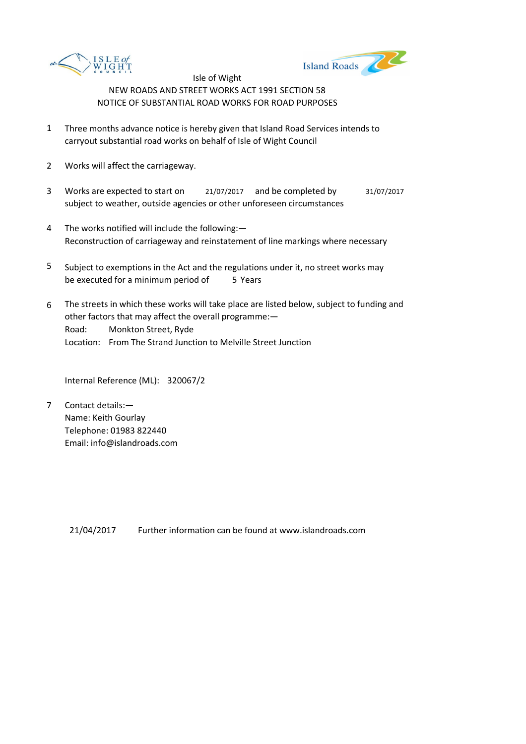



- 1 Three months advance notice is hereby given that Island Road Services intends to carryout substantial road works on behalf of Isle of Wight Council
- 2 Works will affect the carriageway.
- 3 Works are expected to start on <br>21/07/2017 and be completed by 31/07/2017 subject to weather, outside agencies or other unforeseen circumstances
- 4 The works notified will include the following:— Reconstruction of carriageway and reinstatement of line markings where necessary
- 5 be executed for a minimum period of 5 Years Subject to exemptions in the Act and the regulations under it, no street works may
- 6 Road: Monkton Street, Ryde Location: From The Strand Junction to Melville Street Junction The streets in which these works will take place are listed below, subject to funding and other factors that may affect the overall programme:—

Internal Reference (ML): 320067/2

7 Contact details:— Name: Keith Gourlay Telephone: 01983 822440 Email: info@islandroads.com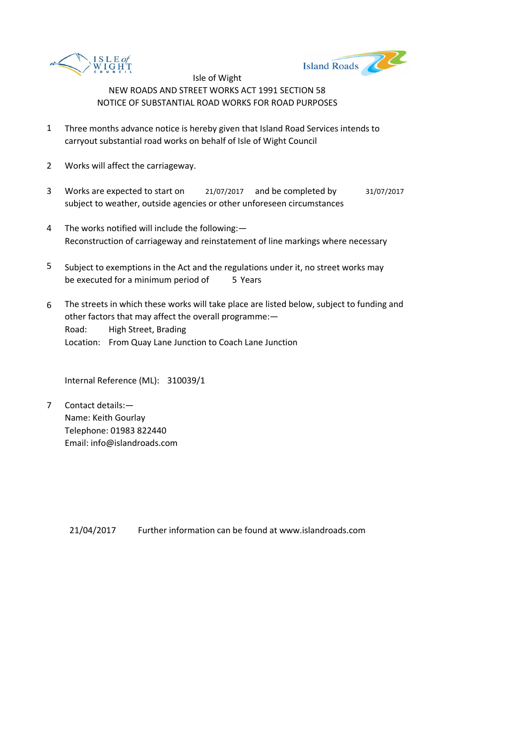



- 1 Three months advance notice is hereby given that Island Road Services intends to carryout substantial road works on behalf of Isle of Wight Council
- 2 Works will affect the carriageway.
- 3 Works are expected to start on <br>21/07/2017 and be completed by 31/07/2017 subject to weather, outside agencies or other unforeseen circumstances
- 4 The works notified will include the following:— Reconstruction of carriageway and reinstatement of line markings where necessary
- 5 be executed for a minimum period of 5 Years Subject to exemptions in the Act and the regulations under it, no street works may
- 6 Road: High Street, Brading Location: From Quay Lane Junction to Coach Lane Junction The streets in which these works will take place are listed below, subject to funding and other factors that may affect the overall programme:—

Internal Reference (ML): 310039/1

7 Contact details:— Name: Keith Gourlay Telephone: 01983 822440 Email: info@islandroads.com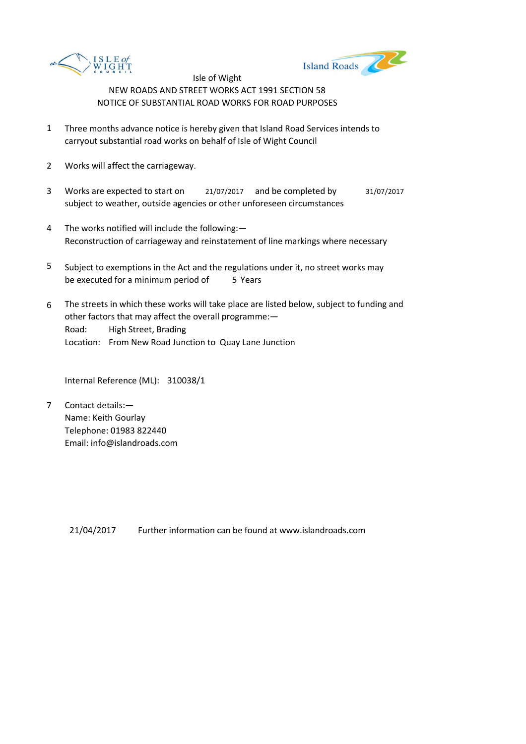



- 1 Three months advance notice is hereby given that Island Road Services intends to carryout substantial road works on behalf of Isle of Wight Council
- 2 Works will affect the carriageway.
- 3 Works are expected to start on <br>21/07/2017 and be completed by 31/07/2017 subject to weather, outside agencies or other unforeseen circumstances
- 4 The works notified will include the following:— Reconstruction of carriageway and reinstatement of line markings where necessary
- 5 be executed for a minimum period of 5 Years Subject to exemptions in the Act and the regulations under it, no street works may
- 6 Road: High Street, Brading Location: From New Road Junction to Quay Lane Junction The streets in which these works will take place are listed below, subject to funding and other factors that may affect the overall programme:—

Internal Reference (ML): 310038/1

7 Contact details:— Name: Keith Gourlay Telephone: 01983 822440 Email: info@islandroads.com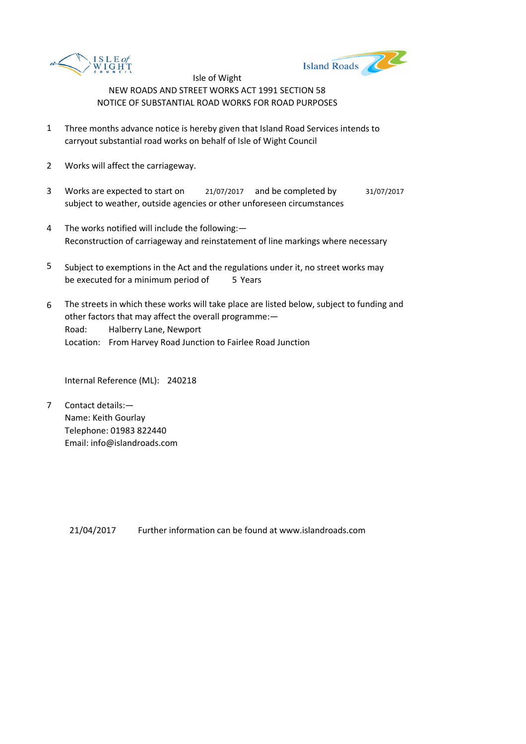



- 1 Three months advance notice is hereby given that Island Road Services intends to carryout substantial road works on behalf of Isle of Wight Council
- 2 Works will affect the carriageway.
- 3 Works are expected to start on <br>21/07/2017 and be completed by 31/07/2017 subject to weather, outside agencies or other unforeseen circumstances
- 4 The works notified will include the following:— Reconstruction of carriageway and reinstatement of line markings where necessary
- 5 be executed for a minimum period of 5 Years Subject to exemptions in the Act and the regulations under it, no street works may
- 6 Road: Halberry Lane, Newport Location: From Harvey Road Junction to Fairlee Road Junction The streets in which these works will take place are listed below, subject to funding and other factors that may affect the overall programme:—

Internal Reference (ML): 240218

7 Contact details:— Name: Keith Gourlay Telephone: 01983 822440 Email: info@islandroads.com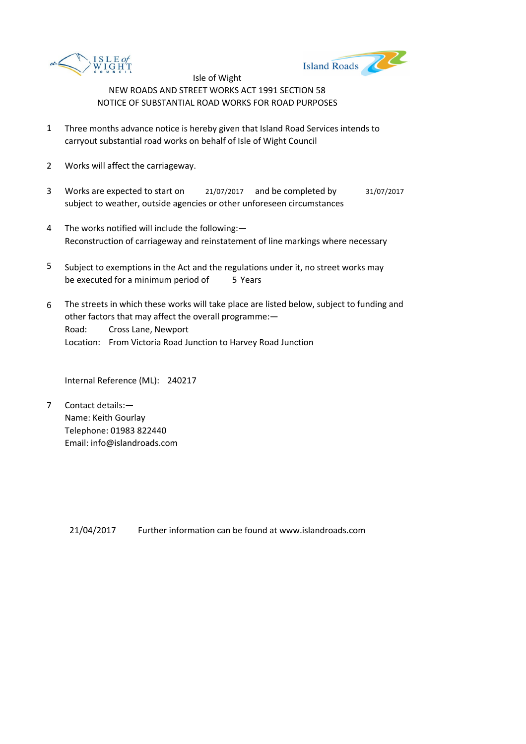



- 1 Three months advance notice is hereby given that Island Road Services intends to carryout substantial road works on behalf of Isle of Wight Council
- 2 Works will affect the carriageway.
- 3 Works are expected to start on <br>21/07/2017 and be completed by 31/07/2017 subject to weather, outside agencies or other unforeseen circumstances
- 4 The works notified will include the following:— Reconstruction of carriageway and reinstatement of line markings where necessary
- 5 be executed for a minimum period of 5 Years Subject to exemptions in the Act and the regulations under it, no street works may
- 6 Road: Cross Lane, Newport Location: From Victoria Road Junction to Harvey Road Junction The streets in which these works will take place are listed below, subject to funding and other factors that may affect the overall programme:—

Internal Reference (ML): 240217

7 Contact details:— Name: Keith Gourlay Telephone: 01983 822440 Email: info@islandroads.com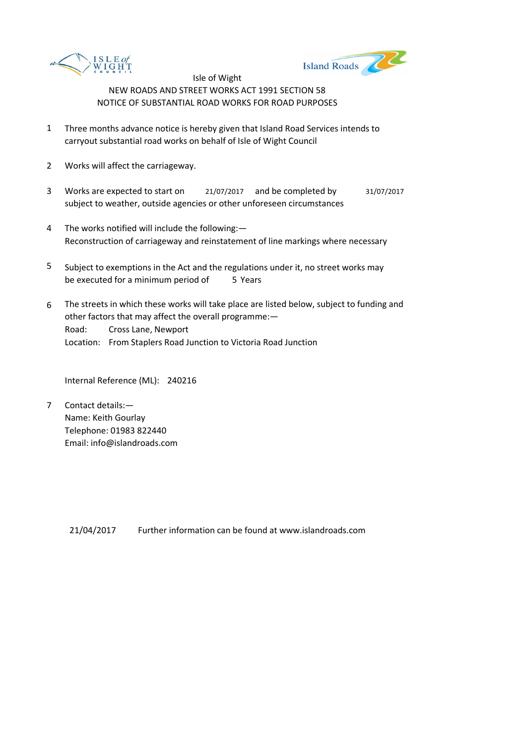



- 1 Three months advance notice is hereby given that Island Road Services intends to carryout substantial road works on behalf of Isle of Wight Council
- 2 Works will affect the carriageway.
- 3 Works are expected to start on <br>21/07/2017 and be completed by 31/07/2017 subject to weather, outside agencies or other unforeseen circumstances
- 4 The works notified will include the following:— Reconstruction of carriageway and reinstatement of line markings where necessary
- 5 be executed for a minimum period of 5 Years Subject to exemptions in the Act and the regulations under it, no street works may
- 6 Road: Cross Lane, Newport Location: From Staplers Road Junction to Victoria Road Junction The streets in which these works will take place are listed below, subject to funding and other factors that may affect the overall programme:—

Internal Reference (ML): 240216

7 Contact details:— Name: Keith Gourlay Telephone: 01983 822440 Email: info@islandroads.com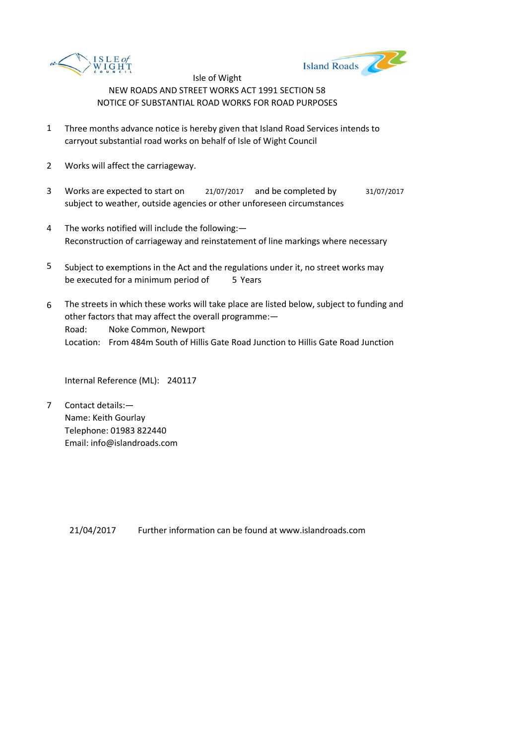



- 1 Three months advance notice is hereby given that Island Road Services intends to carryout substantial road works on behalf of Isle of Wight Council
- 2 Works will affect the carriageway.
- 3 Works are expected to start on <br>21/07/2017 and be completed by 31/07/2017 subject to weather, outside agencies or other unforeseen circumstances
- 4 The works notified will include the following:— Reconstruction of carriageway and reinstatement of line markings where necessary
- 5 be executed for a minimum period of 5 Years Subject to exemptions in the Act and the regulations under it, no street works may
- 6 Road: Noke Common, Newport Location: From 484m South of Hillis Gate Road Junction to Hillis Gate Road Junction The streets in which these works will take place are listed below, subject to funding and other factors that may affect the overall programme:—

Internal Reference (ML): 240117

7 Contact details:— Name: Keith Gourlay Telephone: 01983 822440 Email: info@islandroads.com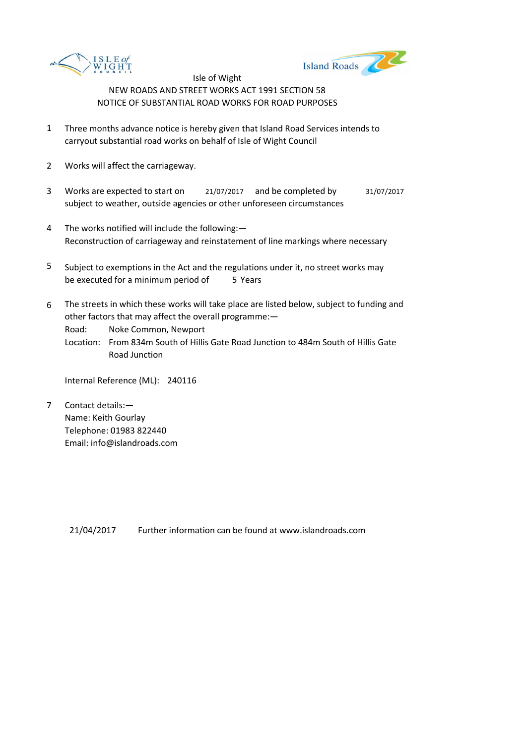



- 1 Three months advance notice is hereby given that Island Road Services intends to carryout substantial road works on behalf of Isle of Wight Council
- 2 Works will affect the carriageway.
- 3 Works are expected to start on <br>21/07/2017 and be completed by 31/07/2017 subject to weather, outside agencies or other unforeseen circumstances
- 4 The works notified will include the following:— Reconstruction of carriageway and reinstatement of line markings where necessary
- 5 be executed for a minimum period of 5 Years Subject to exemptions in the Act and the regulations under it, no street works may
- 6 The streets in which these works will take place are listed below, subject to funding and other factors that may affect the overall programme:—

Road: Noke Common, Newport

Location: From 834m South of Hillis Gate Road Junction to 484m South of Hillis Gate Road Junction

Internal Reference (ML): 240116

7 Contact details:— Name: Keith Gourlay Telephone: 01983 822440 Email: info@islandroads.com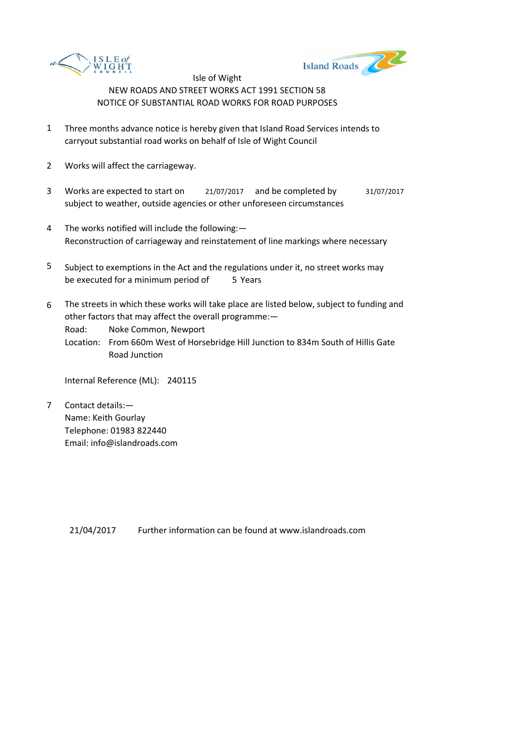



- 1 Three months advance notice is hereby given that Island Road Services intends to carryout substantial road works on behalf of Isle of Wight Council
- 2 Works will affect the carriageway.
- 3 Works are expected to start on <br>21/07/2017 and be completed by 31/07/2017 subject to weather, outside agencies or other unforeseen circumstances
- 4 The works notified will include the following:— Reconstruction of carriageway and reinstatement of line markings where necessary
- 5 be executed for a minimum period of 5 Years Subject to exemptions in the Act and the regulations under it, no street works may
- 6 The streets in which these works will take place are listed below, subject to funding and other factors that may affect the overall programme:—

Road: Noke Common, Newport

Location: From 660m West of Horsebridge Hill Junction to 834m South of Hillis Gate Road Junction

Internal Reference (ML): 240115

7 Contact details:— Name: Keith Gourlay Telephone: 01983 822440 Email: info@islandroads.com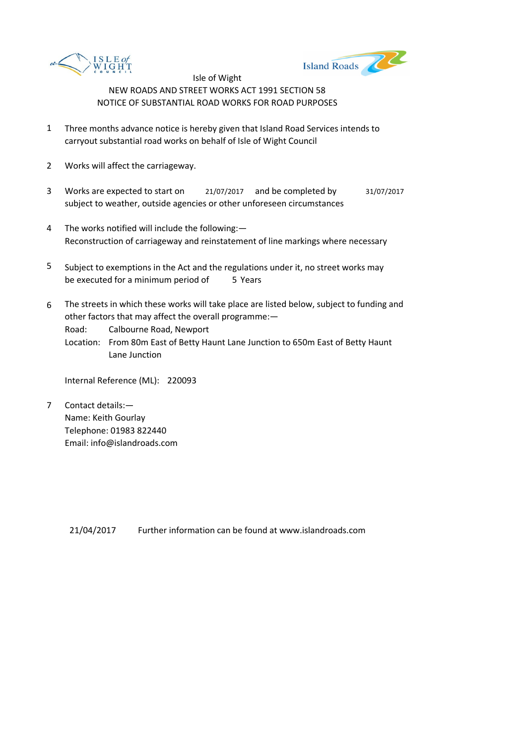



- 1 Three months advance notice is hereby given that Island Road Services intends to carryout substantial road works on behalf of Isle of Wight Council
- 2 Works will affect the carriageway.
- 3 Works are expected to start on <br>21/07/2017 and be completed by 31/07/2017 subject to weather, outside agencies or other unforeseen circumstances
- 4 The works notified will include the following:— Reconstruction of carriageway and reinstatement of line markings where necessary
- 5 be executed for a minimum period of 5 Years Subject to exemptions in the Act and the regulations under it, no street works may
- 6 The streets in which these works will take place are listed below, subject to funding and other factors that may affect the overall programme:—

Road: Calbourne Road, Newport

Location: From 80m East of Betty Haunt Lane Junction to 650m East of Betty Haunt Lane Junction

Internal Reference (ML): 220093

7 Contact details:— Name: Keith Gourlay Telephone: 01983 822440 Email: info@islandroads.com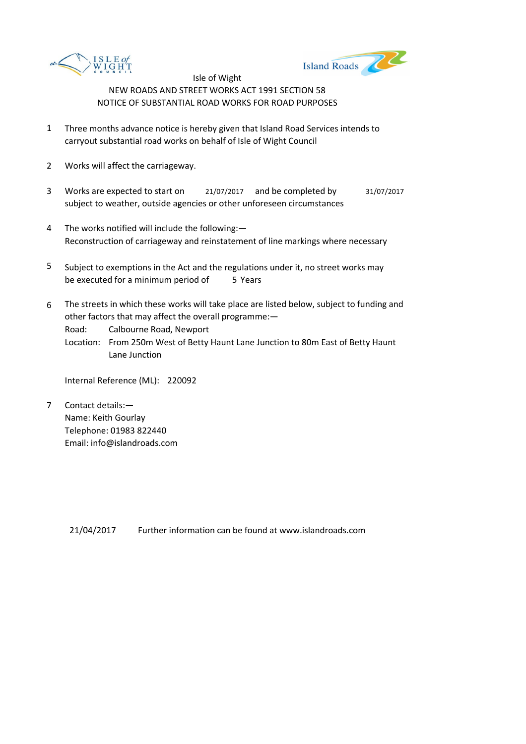



- 1 Three months advance notice is hereby given that Island Road Services intends to carryout substantial road works on behalf of Isle of Wight Council
- 2 Works will affect the carriageway.
- 3 Works are expected to start on <br>21/07/2017 and be completed by 31/07/2017 subject to weather, outside agencies or other unforeseen circumstances
- 4 The works notified will include the following:— Reconstruction of carriageway and reinstatement of line markings where necessary
- 5 be executed for a minimum period of 5 Years Subject to exemptions in the Act and the regulations under it, no street works may
- 6 The streets in which these works will take place are listed below, subject to funding and other factors that may affect the overall programme:—

Road: Calbourne Road, Newport

Location: From 250m West of Betty Haunt Lane Junction to 80m East of Betty Haunt Lane Junction

Internal Reference (ML): 220092

7 Contact details:— Name: Keith Gourlay Telephone: 01983 822440 Email: info@islandroads.com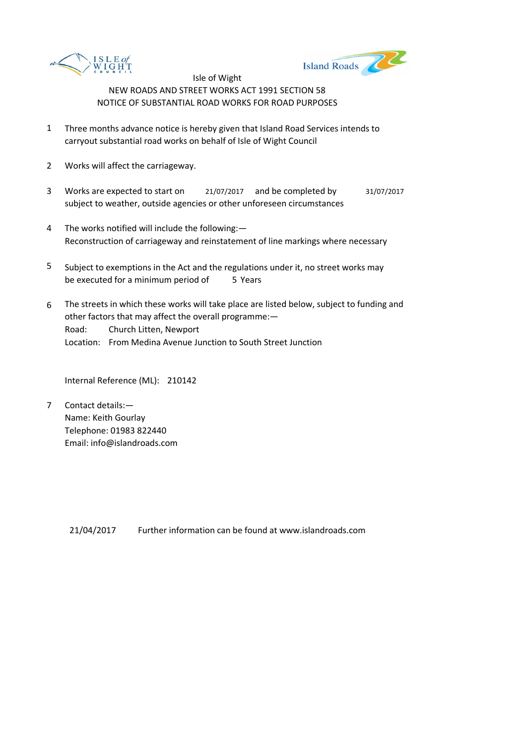



- 1 Three months advance notice is hereby given that Island Road Services intends to carryout substantial road works on behalf of Isle of Wight Council
- 2 Works will affect the carriageway.
- 3 Works are expected to start on <br>21/07/2017 and be completed by 31/07/2017 subject to weather, outside agencies or other unforeseen circumstances
- 4 The works notified will include the following:— Reconstruction of carriageway and reinstatement of line markings where necessary
- 5 be executed for a minimum period of 5 Years Subject to exemptions in the Act and the regulations under it, no street works may
- 6 Road: Church Litten, Newport Location: From Medina Avenue Junction to South Street Junction The streets in which these works will take place are listed below, subject to funding and other factors that may affect the overall programme:—

Internal Reference (ML): 210142

7 Contact details:— Name: Keith Gourlay Telephone: 01983 822440 Email: info@islandroads.com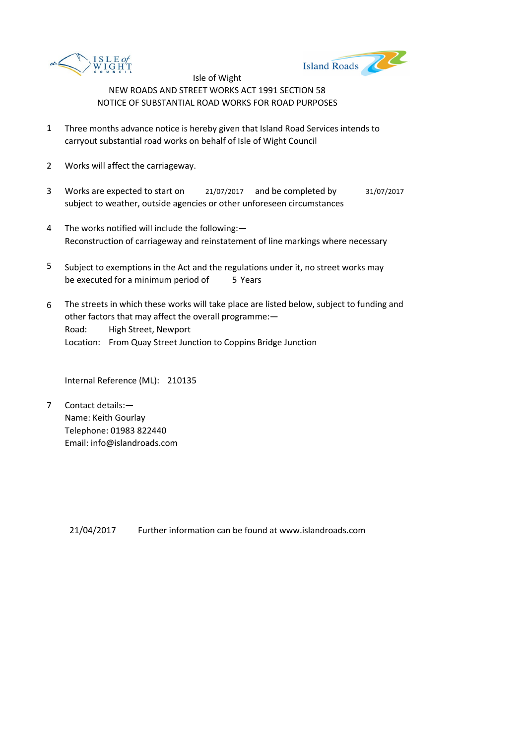



- 1 Three months advance notice is hereby given that Island Road Services intends to carryout substantial road works on behalf of Isle of Wight Council
- 2 Works will affect the carriageway.
- 3 Works are expected to start on <br>21/07/2017 and be completed by 31/07/2017 subject to weather, outside agencies or other unforeseen circumstances
- 4 The works notified will include the following:— Reconstruction of carriageway and reinstatement of line markings where necessary
- 5 be executed for a minimum period of 5 Years Subject to exemptions in the Act and the regulations under it, no street works may
- 6 Road: High Street, Newport Location: From Quay Street Junction to Coppins Bridge Junction The streets in which these works will take place are listed below, subject to funding and other factors that may affect the overall programme:—

Internal Reference (ML): 210135

7 Contact details:— Name: Keith Gourlay Telephone: 01983 822440 Email: info@islandroads.com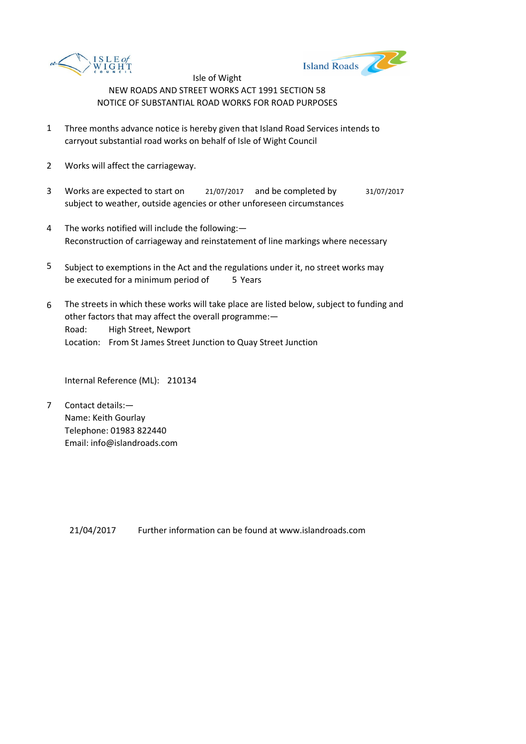



- 1 Three months advance notice is hereby given that Island Road Services intends to carryout substantial road works on behalf of Isle of Wight Council
- 2 Works will affect the carriageway.
- 3 Works are expected to start on <br>21/07/2017 and be completed by 31/07/2017 subject to weather, outside agencies or other unforeseen circumstances
- 4 The works notified will include the following:— Reconstruction of carriageway and reinstatement of line markings where necessary
- 5 be executed for a minimum period of 5 Years Subject to exemptions in the Act and the regulations under it, no street works may
- 6 Road: High Street, Newport Location: From St James Street Junction to Quay Street Junction The streets in which these works will take place are listed below, subject to funding and other factors that may affect the overall programme:—

Internal Reference (ML): 210134

7 Contact details:— Name: Keith Gourlay Telephone: 01983 822440 Email: info@islandroads.com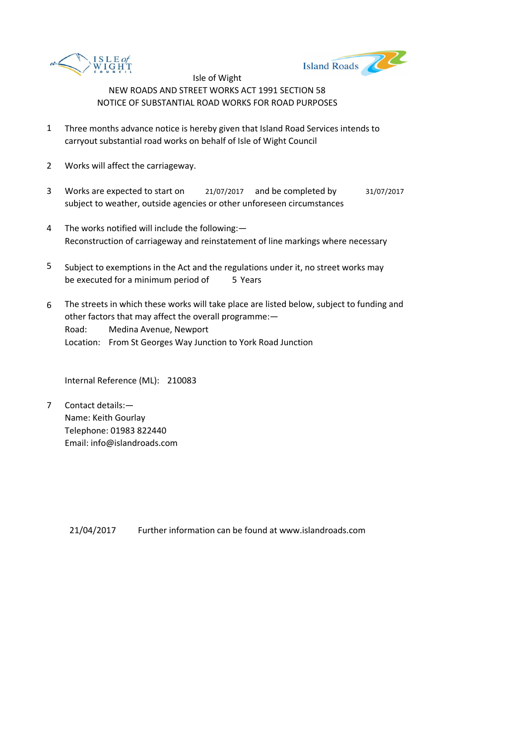



- 1 Three months advance notice is hereby given that Island Road Services intends to carryout substantial road works on behalf of Isle of Wight Council
- 2 Works will affect the carriageway.
- 3 Works are expected to start on <br>21/07/2017 and be completed by 31/07/2017 subject to weather, outside agencies or other unforeseen circumstances
- 4 The works notified will include the following:— Reconstruction of carriageway and reinstatement of line markings where necessary
- 5 be executed for a minimum period of 5 Years Subject to exemptions in the Act and the regulations under it, no street works may
- 6 Road: Medina Avenue, Newport Location: From St Georges Way Junction to York Road Junction The streets in which these works will take place are listed below, subject to funding and other factors that may affect the overall programme:—

Internal Reference (ML): 210083

7 Contact details:— Name: Keith Gourlay Telephone: 01983 822440 Email: info@islandroads.com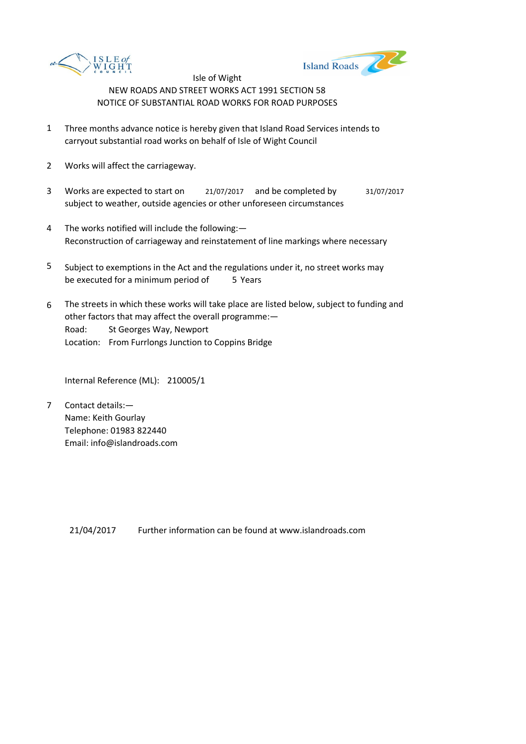



- 1 Three months advance notice is hereby given that Island Road Services intends to carryout substantial road works on behalf of Isle of Wight Council
- 2 Works will affect the carriageway.
- 3 Works are expected to start on <br>21/07/2017 and be completed by 31/07/2017 subject to weather, outside agencies or other unforeseen circumstances
- 4 The works notified will include the following:— Reconstruction of carriageway and reinstatement of line markings where necessary
- 5 be executed for a minimum period of 5 Years Subject to exemptions in the Act and the regulations under it, no street works may
- 6 Road: St Georges Way, Newport Location: From Furrlongs Junction to Coppins Bridge The streets in which these works will take place are listed below, subject to funding and other factors that may affect the overall programme:—

Internal Reference (ML): 210005/1

7 Contact details:— Name: Keith Gourlay Telephone: 01983 822440 Email: info@islandroads.com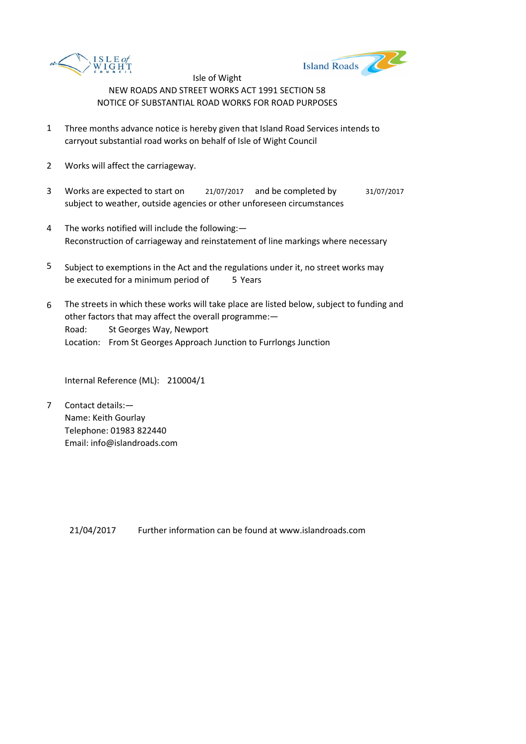



- 1 Three months advance notice is hereby given that Island Road Services intends to carryout substantial road works on behalf of Isle of Wight Council
- 2 Works will affect the carriageway.
- 3 Works are expected to start on <br>21/07/2017 and be completed by 31/07/2017 subject to weather, outside agencies or other unforeseen circumstances
- 4 The works notified will include the following:— Reconstruction of carriageway and reinstatement of line markings where necessary
- 5 be executed for a minimum period of 5 Years Subject to exemptions in the Act and the regulations under it, no street works may
- 6 Road: St Georges Way, Newport Location: From St Georges Approach Junction to Furrlongs Junction The streets in which these works will take place are listed below, subject to funding and other factors that may affect the overall programme:—

Internal Reference (ML): 210004/1

7 Contact details:— Name: Keith Gourlay Telephone: 01983 822440 Email: info@islandroads.com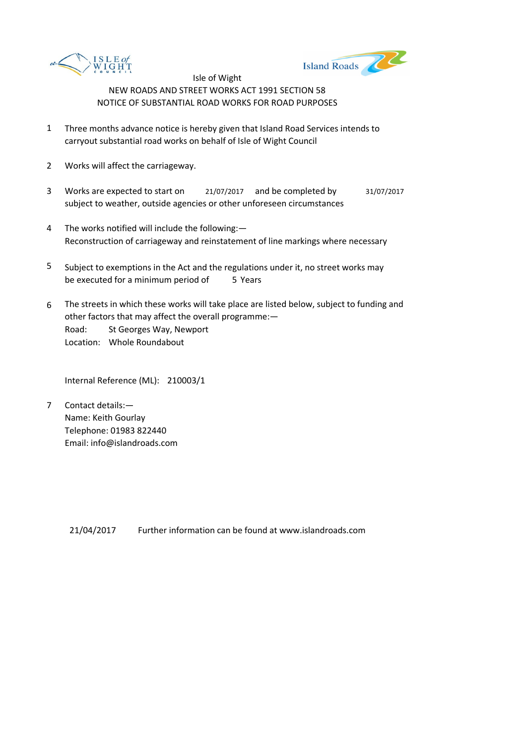



- 1 Three months advance notice is hereby given that Island Road Services intends to carryout substantial road works on behalf of Isle of Wight Council
- 2 Works will affect the carriageway.
- 3 Works are expected to start on <br>21/07/2017 and be completed by 31/07/2017 subject to weather, outside agencies or other unforeseen circumstances
- 4 The works notified will include the following:— Reconstruction of carriageway and reinstatement of line markings where necessary
- 5 be executed for a minimum period of 5 Years Subject to exemptions in the Act and the regulations under it, no street works may
- 6 Road: St Georges Way, Newport Location: Whole Roundabout The streets in which these works will take place are listed below, subject to funding and other factors that may affect the overall programme:—

Internal Reference (ML): 210003/1

7 Contact details:— Name: Keith Gourlay Telephone: 01983 822440 Email: info@islandroads.com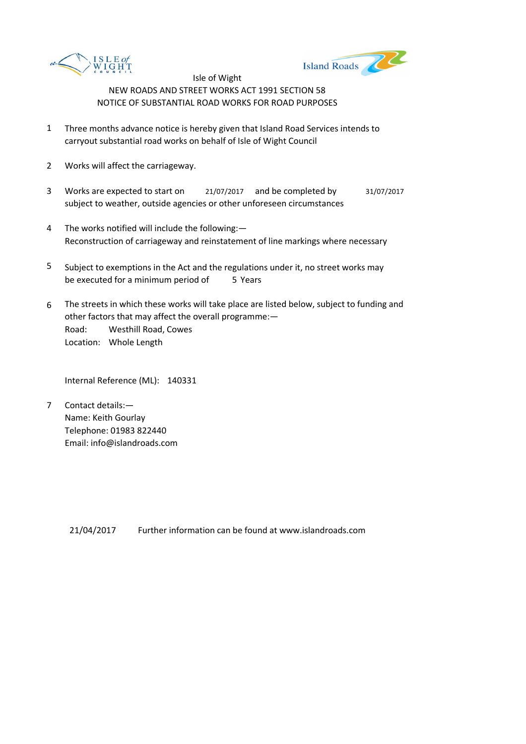



- 1 Three months advance notice is hereby given that Island Road Services intends to carryout substantial road works on behalf of Isle of Wight Council
- 2 Works will affect the carriageway.
- 3 Works are expected to start on <br>21/07/2017 and be completed by 31/07/2017 subject to weather, outside agencies or other unforeseen circumstances
- 4 The works notified will include the following:— Reconstruction of carriageway and reinstatement of line markings where necessary
- 5 be executed for a minimum period of 5 Years Subject to exemptions in the Act and the regulations under it, no street works may
- 6 Road: Westhill Road, Cowes Location: Whole Length The streets in which these works will take place are listed below, subject to funding and other factors that may affect the overall programme:—

Internal Reference (ML): 140331

7 Contact details:— Name: Keith Gourlay Telephone: 01983 822440 Email: info@islandroads.com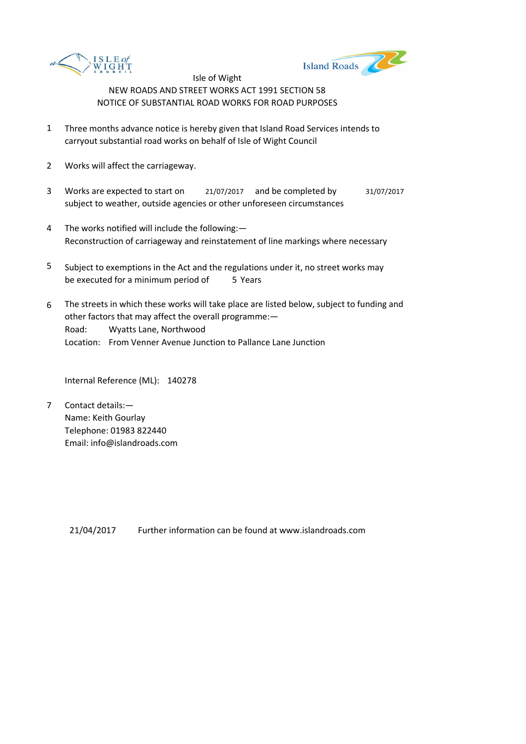



- 1 Three months advance notice is hereby given that Island Road Services intends to carryout substantial road works on behalf of Isle of Wight Council
- 2 Works will affect the carriageway.
- 3 Works are expected to start on <br>21/07/2017 and be completed by 31/07/2017 subject to weather, outside agencies or other unforeseen circumstances
- 4 The works notified will include the following:— Reconstruction of carriageway and reinstatement of line markings where necessary
- 5 be executed for a minimum period of 5 Years Subject to exemptions in the Act and the regulations under it, no street works may
- 6 Road: Wyatts Lane, Northwood Location: From Venner Avenue Junction to Pallance Lane Junction The streets in which these works will take place are listed below, subject to funding and other factors that may affect the overall programme:—

Internal Reference (ML): 140278

7 Contact details:— Name: Keith Gourlay Telephone: 01983 822440 Email: info@islandroads.com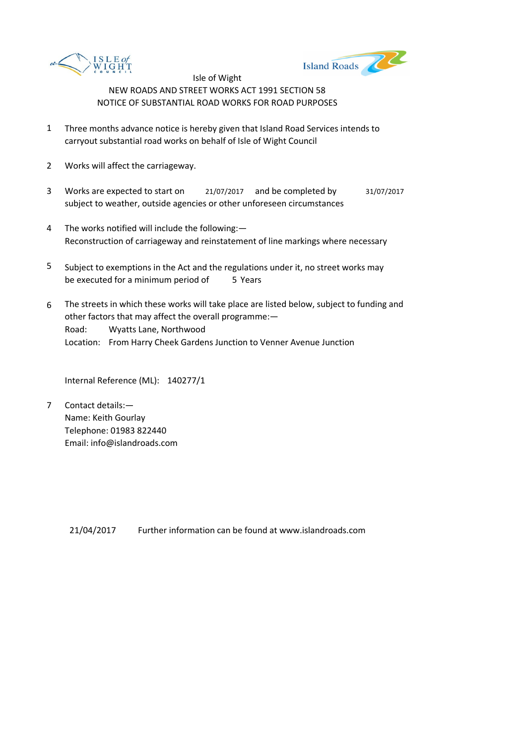



- 1 Three months advance notice is hereby given that Island Road Services intends to carryout substantial road works on behalf of Isle of Wight Council
- 2 Works will affect the carriageway.
- 3 Works are expected to start on <br>21/07/2017 and be completed by 31/07/2017 subject to weather, outside agencies or other unforeseen circumstances
- 4 The works notified will include the following:— Reconstruction of carriageway and reinstatement of line markings where necessary
- 5 be executed for a minimum period of 5 Years Subject to exemptions in the Act and the regulations under it, no street works may
- 6 Road: Wyatts Lane, Northwood Location: From Harry Cheek Gardens Junction to Venner Avenue Junction The streets in which these works will take place are listed below, subject to funding and other factors that may affect the overall programme:—

Internal Reference (ML): 140277/1

7 Contact details:— Name: Keith Gourlay Telephone: 01983 822440 Email: info@islandroads.com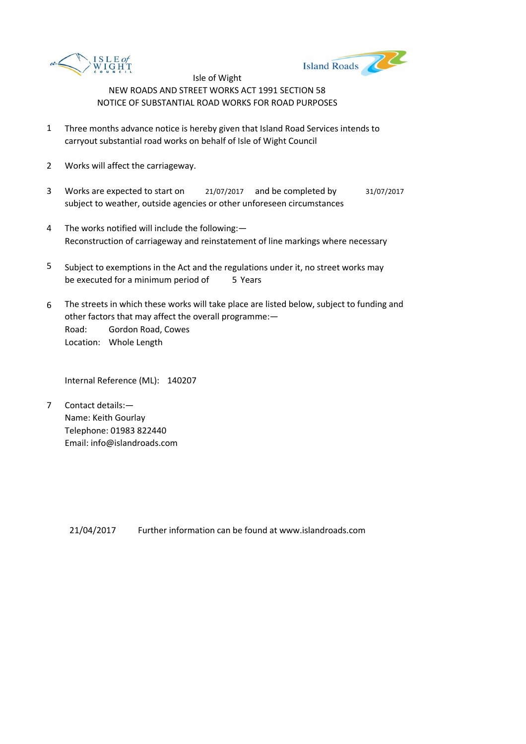



- 1 Three months advance notice is hereby given that Island Road Services intends to carryout substantial road works on behalf of Isle of Wight Council
- 2 Works will affect the carriageway.
- 3 Works are expected to start on <br>21/07/2017 and be completed by 31/07/2017 subject to weather, outside agencies or other unforeseen circumstances
- 4 The works notified will include the following:— Reconstruction of carriageway and reinstatement of line markings where necessary
- 5 be executed for a minimum period of 5 Years Subject to exemptions in the Act and the regulations under it, no street works may
- 6 Road: Gordon Road, Cowes Location: Whole Length The streets in which these works will take place are listed below, subject to funding and other factors that may affect the overall programme:—

Internal Reference (ML): 140207

7 Contact details:— Name: Keith Gourlay Telephone: 01983 822440 Email: info@islandroads.com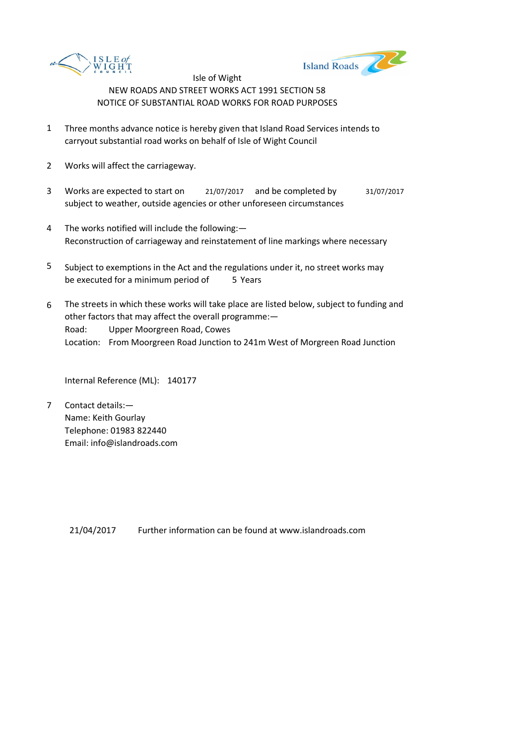



- 1 Three months advance notice is hereby given that Island Road Services intends to carryout substantial road works on behalf of Isle of Wight Council
- 2 Works will affect the carriageway.
- 3 Works are expected to start on <br>21/07/2017 and be completed by 31/07/2017 subject to weather, outside agencies or other unforeseen circumstances
- 4 The works notified will include the following:— Reconstruction of carriageway and reinstatement of line markings where necessary
- 5 be executed for a minimum period of 5 Years Subject to exemptions in the Act and the regulations under it, no street works may
- 6 Road: Upper Moorgreen Road, Cowes Location: From Moorgreen Road Junction to 241m West of Morgreen Road Junction The streets in which these works will take place are listed below, subject to funding and other factors that may affect the overall programme:—

Internal Reference (ML): 140177

7 Contact details:— Name: Keith Gourlay Telephone: 01983 822440 Email: info@islandroads.com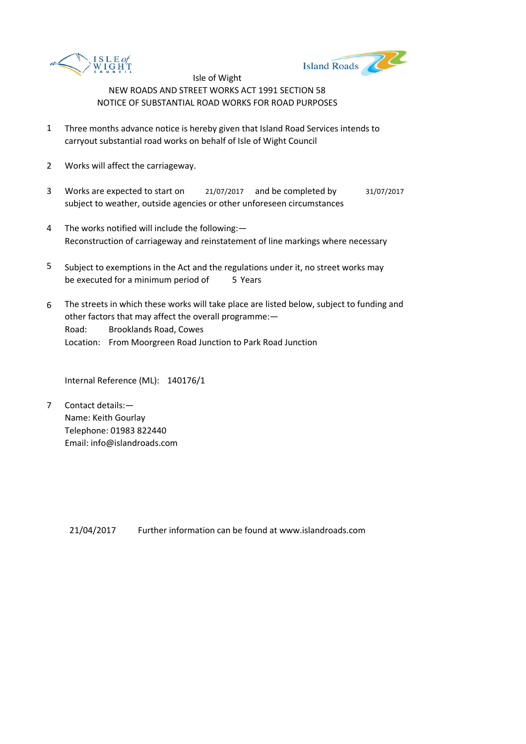



- 1 Three months advance notice is hereby given that Island Road Services intends to carryout substantial road works on behalf of Isle of Wight Council
- 2 Works will affect the carriageway.
- 3 Works are expected to start on <br>21/07/2017 and be completed by 31/07/2017 subject to weather, outside agencies or other unforeseen circumstances
- 4 The works notified will include the following:— Reconstruction of carriageway and reinstatement of line markings where necessary
- 5 be executed for a minimum period of 5 Years Subject to exemptions in the Act and the regulations under it, no street works may
- 6 Road: Brooklands Road, Cowes Location: From Moorgreen Road Junction to Park Road Junction The streets in which these works will take place are listed below, subject to funding and other factors that may affect the overall programme:—

Internal Reference (ML): 140176/1

7 Contact details:— Name: Keith Gourlay Telephone: 01983 822440 Email: info@islandroads.com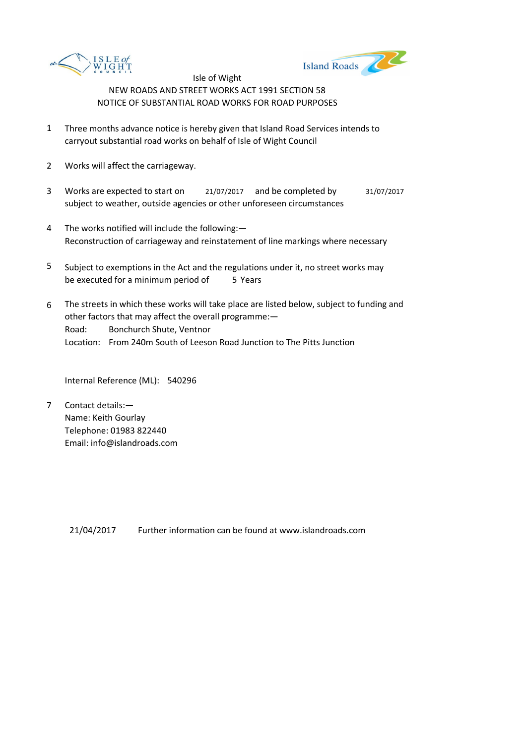



- 1 Three months advance notice is hereby given that Island Road Services intends to carryout substantial road works on behalf of Isle of Wight Council
- 2 Works will affect the carriageway.
- 3 Works are expected to start on <br>21/07/2017 and be completed by 31/07/2017 subject to weather, outside agencies or other unforeseen circumstances
- 4 The works notified will include the following:— Reconstruction of carriageway and reinstatement of line markings where necessary
- 5 be executed for a minimum period of 5 Years Subject to exemptions in the Act and the regulations under it, no street works may
- 6 Road: Bonchurch Shute, Ventnor Location: From 240m South of Leeson Road Junction to The Pitts Junction The streets in which these works will take place are listed below, subject to funding and other factors that may affect the overall programme:—

Internal Reference (ML): 540296

7 Contact details:— Name: Keith Gourlay Telephone: 01983 822440 Email: info@islandroads.com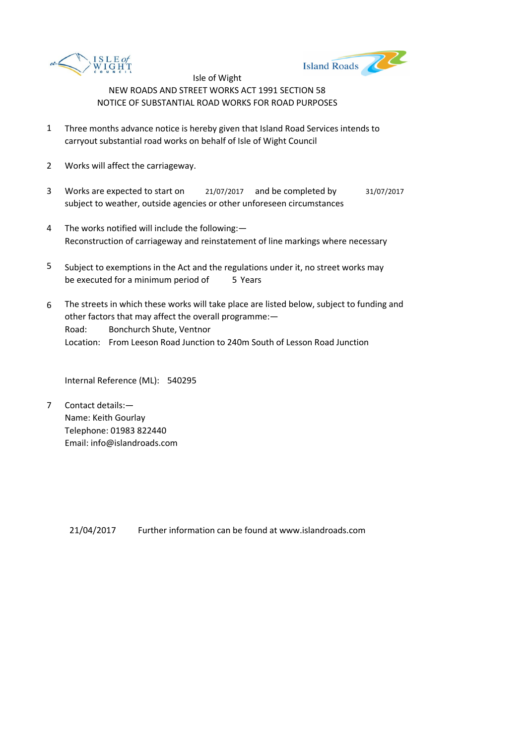



- 1 Three months advance notice is hereby given that Island Road Services intends to carryout substantial road works on behalf of Isle of Wight Council
- 2 Works will affect the carriageway.
- 3 Works are expected to start on <br>21/07/2017 and be completed by 31/07/2017 subject to weather, outside agencies or other unforeseen circumstances
- 4 The works notified will include the following:— Reconstruction of carriageway and reinstatement of line markings where necessary
- 5 be executed for a minimum period of 5 Years Subject to exemptions in the Act and the regulations under it, no street works may
- 6 Road: Bonchurch Shute, Ventnor Location: From Leeson Road Junction to 240m South of Lesson Road Junction The streets in which these works will take place are listed below, subject to funding and other factors that may affect the overall programme:—

Internal Reference (ML): 540295

7 Contact details:— Name: Keith Gourlay Telephone: 01983 822440 Email: info@islandroads.com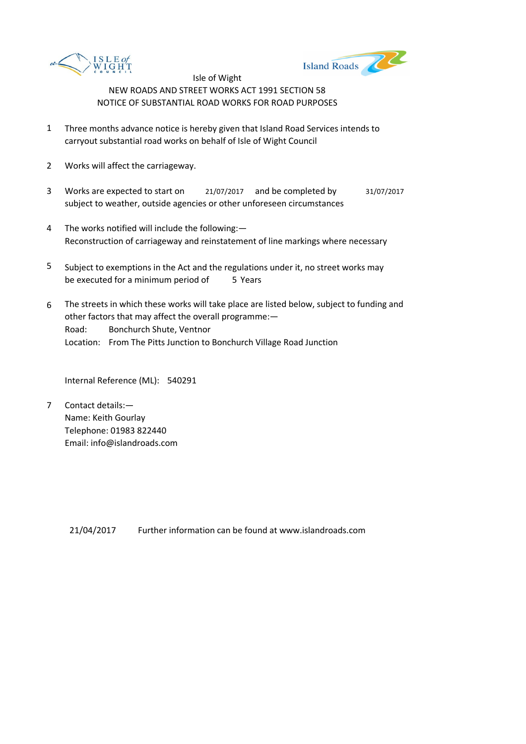



- 1 Three months advance notice is hereby given that Island Road Services intends to carryout substantial road works on behalf of Isle of Wight Council
- 2 Works will affect the carriageway.
- 3 Works are expected to start on <br>21/07/2017 and be completed by 31/07/2017 subject to weather, outside agencies or other unforeseen circumstances
- 4 The works notified will include the following:— Reconstruction of carriageway and reinstatement of line markings where necessary
- 5 be executed for a minimum period of 5 Years Subject to exemptions in the Act and the regulations under it, no street works may
- 6 Road: Bonchurch Shute, Ventnor Location: From The Pitts Junction to Bonchurch Village Road Junction The streets in which these works will take place are listed below, subject to funding and other factors that may affect the overall programme:—

Internal Reference (ML): 540291

7 Contact details:— Name: Keith Gourlay Telephone: 01983 822440 Email: info@islandroads.com